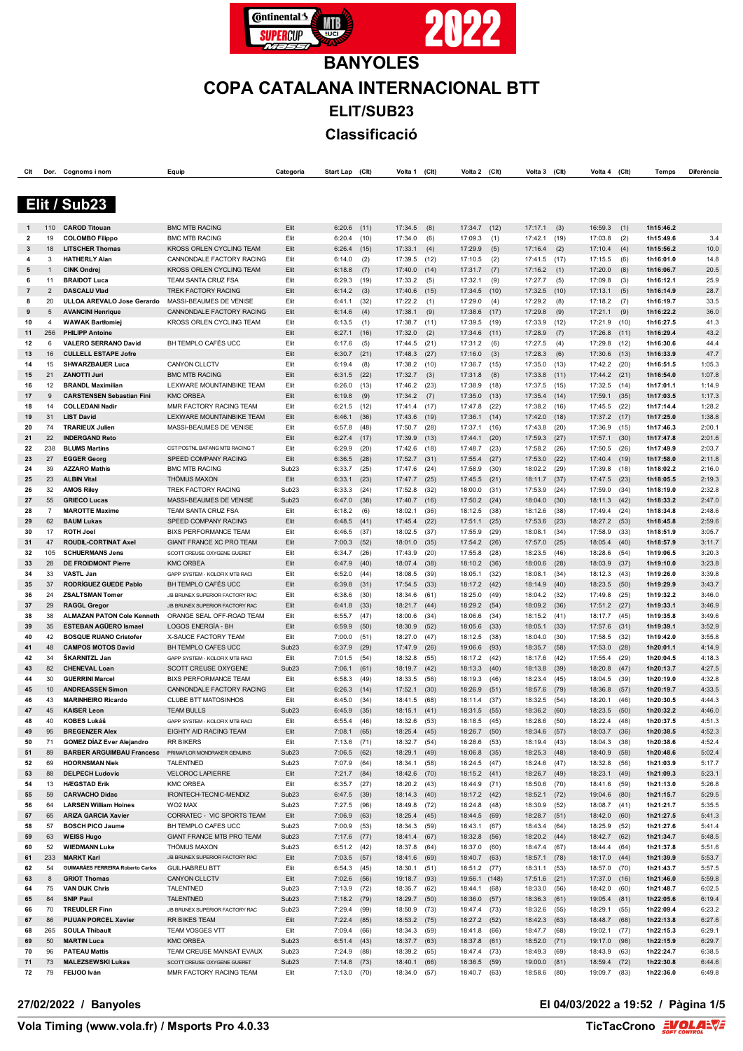

| Clt      |                    | Dor. Cognoms i nom                                | Equip                                                | Categoria                 | Start Lap        | (CIt)        | Volta 1            | (C <sub>It</sub> ) | Volta 2            | (Clt)       | Volta 3            | (Clt)        | Volta 4            | (C <sub>lt</sub> ) | Temps                  | Diferència       |
|----------|--------------------|---------------------------------------------------|------------------------------------------------------|---------------------------|------------------|--------------|--------------------|--------------------|--------------------|-------------|--------------------|--------------|--------------------|--------------------|------------------------|------------------|
|          |                    |                                                   |                                                      |                           |                  |              |                    |                    |                    |             |                    |              |                    |                    |                        |                  |
|          |                    |                                                   |                                                      |                           |                  |              |                    |                    |                    |             |                    |              |                    |                    |                        |                  |
|          |                    | Elit / Sub23                                      |                                                      |                           |                  |              |                    |                    |                    |             |                    |              |                    |                    |                        |                  |
|          |                    |                                                   |                                                      |                           |                  |              |                    |                    |                    |             |                    |              |                    |                    |                        |                  |
|          | 110                | <b>CAROD Titouan</b>                              | <b>BMC MTB RACING</b>                                | Elit                      | $6:20.6$ (11)    |              | 17:34.5            | (8)                | 17:34.7 (12)       |             | 17:17.1            | (3)          | 16:59.3            | (1)                | 1h15:46.2              |                  |
| 2        | 19                 | <b>COLOMBO Filippo</b>                            | <b>BMC MTB RACING</b>                                | Elit                      | 6:20.4           | (10)         | 17:34.0            | (6)                | 17:09.3            | (1)         | 17:42.1            | (19)         | 17:03.8            | (2)                | 1h15:49.6              | 3.4              |
| 3        | 18                 | <b>LITSCHER Thomas</b>                            | KROSS ORLEN CYCLING TEAM                             | Elit                      | 6:26.4           | (15)         | 17:33.1            | (4)                | 17:29.9            | (5)         | 17:16.4            | (2)          | 17:10.4            | (4)                | 1h15:56.2              | 10.0             |
| 4        | 3                  | <b>HATHERLY Alan</b>                              | CANNONDALE FACTORY RACING                            | Elit                      | 6:14.0           | (2)          | 17:39.5            | (12)               | 17:10.5            | (2)         | 17:41.5            | (17)         | 17:15.5            | (6)                | 1h16:01.0              | 14.8             |
| 5        | $\mathbf{1}$<br>11 | <b>CINK Ondrej</b>                                | KROSS ORLEN CYCLING TEAM                             | Elit                      | 6:18.8           | (7)          | 17:40.0            | (14)               | 17:31.7            | (7)         | 17:16.2            | (1)          | 17:20.0            | (8)                | 1h16:06.7              | 20.5             |
| 6<br>7   | $\overline{2}$     | <b>BRAIDOT Luca</b><br><b>DASCALU Vlad</b>        | TEAM SANTA CRUZ FSA<br><b>TREK FACTORY RACING</b>    | Elit<br>Elit              | 6:29.3           | (19)<br>(3)  | 17:33.2<br>17:40.6 | (5)<br>(15)        | 17:32.1<br>17:34.5 | (9)<br>(10) | 17:27.7<br>17:32.5 | (5)<br>(10)  | 17:09.8<br>17:13.1 | (3)                | 1h16:12.1<br>1h16:14.9 | 25.9<br>28.7     |
| 8        | 20                 | ULLOA AREVALO Jose Gerardo                        | MASSI-BEAUMES DE VENISE                              | Elit                      | 6:14.2<br>6:41.1 | (32)         | 17:22.2            | (1)                | 17:29.0            | (4)         | 17:29.2            | (8)          | 17:18.2            | (5)<br>(7)         | 1h16:19.7              | 33.5             |
| 9        | 5                  | <b>AVANCINI Henrique</b>                          | CANNONDALE FACTORY RACING                            | Elit                      | 6:14.6           | (4)          | 17:38.1            | (9)                | 17:38.6            | (17)        | 17:29.8            | (9)          | 17:21.1            | (9)                | 1h16:22.2              | 36.0             |
| 10       | 4                  | <b>WAWAK Bartłomiej</b>                           | KROSS ORLEN CYCLING TEAM                             | Elit                      | 6:13.5           | (1)          | 17:38.7            | (11)               | 17:39.5            | (19)        | 17:33.9            | (12)         | 17:21.9            | (10)               | 1h16:27.5              | 41.3             |
| 11       | 256                | <b>PHILIPP Antoine</b>                            |                                                      | Elit                      | 6:27.1           | (16)         | 17:32.0            | (2)                | 17:34.6            | (11)        | 17:28.9            | (7)          | 17:26.8            | (11)               | 1h16:29.4              | 43.2             |
| 12       | 6                  | <b>VALERO SERRANO David</b>                       | BH TEMPLO CAFÉS UCC                                  | Elit                      | 6:17.6           | (5)          | 17:44.5            | (21)               | 17:31.2            | (6)         | 17:27.5            | (4)          | 17:29.8            | (12)               | 1h16:30.6              | 44.4             |
| 13       | 16                 | <b>CULLELL ESTAPE Jofre</b>                       |                                                      | Elit                      | 6:30.7           | (21)         | 17:48.3            | (27)               | 17:16.0            | (3)         | 17:28.3            | (6)          | 17:30.6            | (13)               | 1h16:33.9              | 47.7             |
| 14       | 15                 | <b>SHWARZBAUER Luca</b>                           | CANYON CLLCTV                                        | Elit                      | 6:19.4           | (8)          | 17:38.2            | (10)               | 17:36.7            | (15)        | 17:35.0            | (13)         | 17:42.2            | (20)               | 1h16:51.5              | 1:05.3           |
| 15       | 21                 | <b>ZANOTTI Juri</b>                               | <b>BMC MTB RACING</b>                                | Elit                      | 6:31.5           | (22)         | 17:32.7            | (3)                | 17:31.8            | (8)         | 17:33.8            | (11)         | 17:44.2            | (21)               | 1h16:54.0              | 1:07.8           |
| 16       | 12                 | <b>BRANDL Maximilian</b>                          | LEXWARE MOUNTAINBIKE TEAM                            | Elit                      | 6:26.0           | (13)         | 17:46.2            | (23)               | 17:38.9            | (18)        | 17:37.5            | (15)         | 17:32.5 (14)       |                    | 1h17:01.1              | 1:14.9           |
| 17       | 9                  | <b>CARSTENSEN Sebastian Fini</b>                  | <b>KMC ORBEA</b>                                     | Elit                      | 6:19.8           | (9)          | 17:34.2            | (7)                | 17:35.0            | (13)        | 17:35.4            | (14)         | 17:59.1            | (35)               | 1h17:03.5              | 1:17.3           |
| 18       | 14                 | <b>COLLEDANI Nadir</b>                            | MMR FACTORY RACING TEAM                              | Elit                      | 6:21.5           | (12)         | 17:41.4            | (17)               | 17:47.8            | (22)        | 17:38.2            | (16)         | 17:45.5            | (22)               | 1h17:14.4              | 1:28.2           |
| 19       | 31                 | <b>LIST David</b>                                 | LEXWARE MOUNTAINBIKE TEAM                            | Elit                      | 6:46.1           | (36)         | 17:43.6            | (19)               | 17:36.1            | (14)        | 17:42.0            | (18)         | 17:37.2 (17)       |                    | 1h17:25.0              | 1:38.8           |
| 20       | 74                 | <b>TRARIEUX Julien</b>                            | MASSI-BEAUMES DE VENISE                              | Elit                      | 6:57.8           | (48)         | 17:50.7            | (28)               | 17:37.1            | (16)        | 17:43.8            | (20)         | 17:36.9            | (15)               | 1h17:46.3              | 2:00.1           |
| 21       | 22                 | <b>INDERGAND Reto</b>                             |                                                      | Elit                      | 6:27.4           | (17)         | 17:39.9            | (13)               | 17:44.1            | (20)        | 17:59.3            | (27)         | 17:57.1            | (30)               | 1h17:47.8              | 2:01.6           |
| 22       | 238                | <b>BLUMS Martins</b>                              | CST POSTNL BAFANG MTB RACING T                       | Elit                      | 6:29.9           | (20)         | 17:42.6            | (18)               | 17:48.7            | (23)        | 17:58.2            | (26)         | 17:50.5            | (26)               | 1h17:49.9              | 2:03.7           |
| 23       | 27                 | <b>EGGER Georg</b>                                | SPEED COMPANY RACING                                 | Elit                      | 6:36.5           | (28)         | 17:52.7            | (31)               | 17:55.4            | (27)        | 17:53.0            | (22)         | 17:40.4            | (19)               | 1h17:58.0              | 2:11.8           |
| 24       | 39                 | <b>AZZARO Mathis</b>                              | <b>BMC MTB RACING</b>                                | Sub <sub>23</sub>         | 6:33.7           | (25)         | 17:47.6            | (24)               | 17:58.9            | (30)        | 18:02.2            | (29)         | 17:39.8            | (18)               | 1h18:02.2              | 2:16.0           |
| 25       | 23                 | <b>ALBIN Vital</b>                                | <b>THÖMUS MAXON</b>                                  | Elit                      | 6:33.1           | (23)         | 17:47.7            | (25)               | 17:45.5            | (21)        | 18:11.7            | (37)         | 17:47.5            | (23)               | 1h18:05.5              | 2:19.3           |
| 26       | 32                 | <b>AMOS Riley</b>                                 | TREK FACTORY RACING                                  | Sub <sub>23</sub>         | 6:33.3           | (24)         | 17:52.8            | (32)               | 18:00.0            | (31)        | 17:53.9            | (24)         | 17:59.0            | (34)               | 1h18:19.0              | 2:32.8           |
| 27       | 55                 | <b>GRIECO Lucas</b>                               | MASSI-BEAUMES DE VENISE                              | Sub <sub>23</sub>         | 6:47.0           | (38)         | 17:40.7            | (16)               | 17:50.2            | (24)        | 18:04.0            | (30)         | 18:11.3            | (42)               | 1h18:33.2              | 2:47.0           |
| 28       | $\overline{7}$     | <b>MAROTTE Maxime</b>                             | TEAM SANTA CRUZ FSA                                  | Elit                      | 6:18.2           | (6)          | 18:02.1            | (36)               | 18:12.5            | (38)        | 18:12.6            | (38)         | 17:49.4            | (24)               | 1h18:34.8              | 2:48.6           |
| 29       | 62                 | <b>BAUM Lukas</b>                                 | SPEED COMPANY RACING                                 | Elit                      | $6:48.5$ (41)    |              | 17:45.4            | (22)               | 17:51.1            | (25)        | 17:53.6            | (23)         | 18:27.2 (53)       |                    | 1h18:45.8              | 2:59.6           |
| 30       | 17                 | <b>ROTH Joel</b>                                  | <b>BIXS PERFORMANCE TEAM</b>                         | Elit                      | 6:46.5           | (37)         | 18:02.5            | (37)               | 17:55.9            | (29)        | 18:08.1            | (34)         | 17:58.9            | (33)               | 1h18:51.9              | 3:05.7           |
| 31       | 47                 | ROUDIL-CORTINAT Axel                              | GIANT FRANCE XC PRO TEAM                             | Elit                      | 7:00.3           | (52)         | 18:01.0            | (35)               | 17:54.2            | (26)        | 17:57.0            | (25)         | 18:05.4            | (40)               | 1h18:57.9              | 3:11.7           |
| 32       | 105                | <b>SCHUERMANS Jens</b>                            | SCOTT CREUSE OXYGENE GUERET                          | Elit                      | 6:34.7           | (26)         | 17:43.9            | (20)               | 17:55.8            | (28)        | 18:23.5            | (46)         | 18:28.6            | (54)               | 1h19:06.5              | 3:20.3           |
| 33       | 28                 | DE FROIDMONT Pierre                               | <b>KMC ORBEA</b>                                     | Elit                      | 6:47.9           | (40)         | 18:07.4            | (38)               | 18:10.2            | (36)        | 18:00.6            | (28)         | 18:03.9            | (37)               | 1h19:10.0              | 3:23.8           |
| 34       | 33                 | VASTL Jan                                         | GAPP SYSTEM - KOLOFIX MTB RACI                       | Elit                      | 6:52.0           | (44)         | 18:08.5            | (39)               | 18:05.1            | (32)        | 18:08.1            | (34)         | 18:12.3            | (43)               | 1h19:26.0              | 3:39.8           |
| 35       | 37                 | <b>RODRÍGUEZ GUEDE Pablo</b>                      | BH TEMPLO CAFÉS UCC                                  | Elit                      | 6:39.8           | (31)         | 17:54.5            | (33)               | 18:17.2 (42)       |             | 18:14.9            | (40)         | 18:23.5            | (50)               | 1h19:29.9              | 3:43.7           |
| 36       | 24                 | <b>ZSALTSMAN Tomer</b>                            | JB BRUNEX SUPERIOR FACTORY RAC                       | Elit                      | 6:38.6           | (30)         | 18:34.6            | (61)               | 18:25.0            | (49)        | 18:04.2            | (32)         | 17:49.8            | (25)               | 1h19:32.2              | 3:46.0           |
| 37       | 29                 | <b>RAGGL Gregor</b>                               | JB BRUNEX SUPERIOR FACTORY RAC                       | Elit                      | 6:41.8           | (33)         | 18:21.7            | (44)               | 18:29.2            | (54)        | 18:09.2            | (36)         | 17:51.2            | (27)               | 1h19:33.1              | 3:46.9           |
| 38       | 38                 | <b>ALMAZAN PATON Cole Kenneth</b>                 | ORANGE SEAL OFF-ROAD TEAM                            | Elit                      | 6:55.7           | (47)         | 18:00.6            | (34)               | 18:06.6            | (34)        | 18:15.2            | (41)         | 18:17.7            | (45)               | 1h19:35.8              | 3:49.6           |
| 39       | 35                 | <b>ESTEBAN AGÜERO Ismael</b>                      | LOGOS ENERGÍA - BH                                   | Elit                      | 6:59.9           | (50)         | 18:30.9            | (52)               | 18:05.6            | (33)        | 18:05.1            | (33)         | 17:57.6            | (31)               | 1h19:39.1              | 3:52.9           |
| 40       | 42                 | <b>BOSQUE RUANO Cristofer</b>                     | X-SAUCE FACTORY TEAM                                 | Elit                      | 7:00.0           | (51)         | 18:27.0            | (47)               | 18:12.5            | (38)        | 18:04.0            | (30)         | 17:58.5            | (32)               | 1h19:42.0              | 3:55.8           |
| 41<br>42 | 48<br>34           | <b>CAMPOS MOTOS David</b><br><b>SKARNITZL Jan</b> | BH TEMPLO CAFES UCC                                  | Sub <sub>23</sub><br>Elit | 6:37.9           | (29)         | 17:47.9            | (26)               | 19:06.6            | (93)        | 18:35.7            | (58)<br>(42) | 17:53.0            | (28)               | 1h20:01.1<br>1h20:04.5 | 4:14.9<br>4:18.3 |
| 43       | 82                 | <b>CHENEVAL Loan</b>                              | GAPP SYSTEM - KOLOFIX MTB RACI                       | Sub <sub>23</sub>         | 7:01.5           | (54)         | 18:32.8            | (55)<br>(42)       | 18:17.2 (42)       | (40)        | 18:17.6            |              | 17:55.4            | (29)               |                        | 4:27.5           |
| 44       | 30                 | <b>GUERRINI Marcel</b>                            | SCOTT CREUSE OXYGENE<br><b>BIXS PERFORMANCE TEAM</b> | Elit                      | 7:06.1<br>6:58.3 | (61)<br>(49) | 18:19.7<br>18:33.5 | (56)               | 18:13.3<br>18:19.3 | (46)        | 18:13.8<br>18:23.4 | (39)<br>(45) | 18:20.8<br>18:04.5 | (47)<br>(39)       | 1h20:13.7<br>1h20:19.0 | 4:32.8           |
| 45       | 10                 | <b>ANDREASSEN Simon</b>                           | CANNONDALE FACTORY RACING                            | Elit                      | 6:26.3           | (14)         | 17:52.1            | (30)               | 18:26.9            | (51)        | 18:57.6            | (79)         | 18:36.8            | (57)               | 1h20:19.7              | 4:33.5           |
| 46       | 43                 | <b>MARINHEIRO Ricardo</b>                         | <b>CLUBE BTT MATOSINHOS</b>                          | Elit                      | 6:45.0           | (34)         | 18:41.5            | (68)               | 18:11.4            | (37)        | 18:32.5            | (54)         | 18:20.1            | (46)               | 1h20:30.5              | 4:44.3           |
| 47       | 45                 | <b>KAISER Leon</b>                                | <b>TEAM BULLS</b>                                    | Sub <sub>23</sub>         | 6:45.9           | (35)         | 18:15.1            | (41)               | 18:31.5            | (55)        | 18:36.2            | (60)         | 18:23.5            | (50)               | 1h20:32.2              | 4:46.0           |
| 48       | 40                 | KOBES Lukáš                                       | GAPP SYSTEM - KOLOFIX MTB RACI                       | Elit                      | 6:55.4           | (46)         | 18:32.6            | (53)               | 18:18.5            | (45)        | 18:28.6            | (50)         | 18:22.4            | (48)               | 1h20:37.5              | 4:51.3           |
| 49       | 95                 | <b>BREGENZER Alex</b>                             | EIGHTY AID RACING TEAM                               | Elit                      | 7:08.1           | (65)         | 18:25.4            | (45)               | 18:26.7            | (50)        | 18:34.6            | (57)         | 18:03.7            | (36)               | 1h20:38.5              | 4:52.3           |
| 50       | 71                 | <b>GOMEZ DÍAZ Ever Alejandro</b>                  | <b>RR BIKERS</b>                                     | Elit                      | $7:13.6$ (71)    |              | 18:32.7            | (54)               | 18:28.6 (53)       |             | 18:19.4            | (43)         | 18:04.3 (38)       |                    | 1h20:38.6              | 4:52.4           |
| 51       | 89                 | <b>BARBER ARGUIMBAU Francesc</b>                  | PRIMAFLOR MONDRAKER GENUINS                          | Sub <sub>23</sub>         | $7:06.5$ (62)    |              | 18:29.1            | (49)               | 18:06.8 (35)       |             | 18:25.3            | (48)         | 18:40.9 (58)       |                    | 1h20:48.6              | 5:02.4           |
| 52       | 69                 | <b>HOORNSMAN Niek</b>                             | <b>TALENTNED</b>                                     | Sub <sub>23</sub>         | 7:07.9           | (64)         | 18:34.1            | (58)               | 18:24.5 (47)       |             | 18:24.6            | (47)         | 18:32.8            | (56)               | 1h21:03.9              | 5:17.7           |
| 53       | 88                 | <b>DELPECH Ludovic</b>                            | <b>VELOROC LAPIERRE</b>                              | Elit                      | 7:21.7           | (84)         | 18:42.6            | (70)               | 18:15.2 (41)       |             | 18:26.7            | (49)         | 18:23.1            | (49)               | 1h21:09.3              | 5:23.1           |
| 54       | 13                 | <b>HÆGSTAD Erik</b>                               | <b>KMC ORBEA</b>                                     | Elit                      | $6:35.7$ (27)    |              | 18:20.2            | (43)               | 18:44.9 (71)       |             | 18:50.6            | (70)         | 18:41.6 (59)       |                    | 1h21:13.0              | 5:26.8           |
| 55       | 59                 | <b>CARVACHO Didac</b>                             | IRONTECH-TECNIC-MENDIZ                               | Sub <sub>23</sub>         | 6:47.5 (39)      |              | 18:14.3            | (40)               | 18:17.2 (42)       |             | 18:52.1            | (72)         | 19:04.6 (80)       |                    | 1h21:15.7              | 5:29.5           |
| 56       | 64                 | <b>LARSEN William Hoines</b>                      | WO2 MAX                                              | Sub <sub>23</sub>         | 7:27.5           | (96)         | 18:49.8            | (72)               | 18:24.8 (48)       |             | 18:30.9            | (52)         | 18:08.7 (41)       |                    | 1h21:21.7              | 5:35.5           |
| 57       | 65                 | <b>ARIZA GARCIA Xavier</b>                        | CORRATEC - VIC SPORTS TEAM                           | Elit                      | 7:06.9           | (63)         | 18:25.4            | (45)               | 18:44.5 (69)       |             | 18:28.7            | (51)         | 18:42.0            | (60)               | 1h21:27.5              | 5:41.3           |
| 58       | 57                 | <b>BOSCH PICO Jaume</b>                           | BH TEMPLO CAFES UCC                                  | Sub <sub>23</sub>         | 7:00.9           | (53)         | 18:34.3            | (59)               | 18:43.1            | (67)        | 18:43.4            | (64)         | 18:25.9            | (52)               | 1h21:27.6              | 5:41.4           |
| 59       | 63                 | <b>WEISS Hugo</b>                                 | GIANT FRANCE MTB PRO TEAM                            | Sub <sub>23</sub>         | $7:17.6$ (77)    |              | 18:41.4            | (67)               | 18:32.8 (56)       |             | 18:20.2            | (44)         | 18:42.7 (62)       |                    | 1h21:34.7              | 5:48.5           |
| 60       | 52                 | <b>WIEDMANN Luke</b>                              | <b>THÖMUS MAXON</b>                                  | Sub <sub>23</sub>         | $6:51.2$ (42)    |              | 18:37.8            | (64)               | 18:37.0            | (60)        | 18:47.4            | (67)         | 18:44.4            | (64)               | 1h21:37.8              | 5:51.6           |
| 61       | 233                | <b>MARKT Karl</b>                                 | JB BRUNEX SUPERIOR FACTORY RAC                       | Elit                      | $7:03.5$ (57)    |              | 18:41.6            | (69)               | 18:40.7 (63)       |             | 18:57.1            | (78)         | 18:17.0 (44)       |                    | 1h21:39.9              | 5:53.7           |
| 62       | 54                 | <b>GUIMARÃES FERREIRA Roberto Carlos</b>          | <b>GUILHABREU BTT</b>                                | Elit                      | $6:54.3$ (45)    |              | 18:30.1            | (51)               | 18:51.2 (77)       |             | 18:31.1            | (53)         | 18:57.0 (70)       |                    | 1h21:43.7              | 5:57.5           |
| 63       | 8                  | <b>GRIOT Thomas</b>                               | CANYON CLLCTV                                        | Elit                      | 7:02.6           | (56)         | 19:18.7            | (93)               | 19:56.1 (148)      |             | 17:51.6            | (21)         | 17:37.0 (16)       |                    | 1h21:46.0              | 5:59.8           |
| 64       | 75                 | <b>VAN DIJK Chris</b>                             | TALENTNED                                            | Sub <sub>23</sub>         | 7:13.9           | (72)         | 18:35.7            | (62)               | 18:44.1            | (68)        | 18:33.0            | (56)         | 18:42.0 (60)       |                    | 1h21:48.7              | 6:02.5           |
| 65       | 84                 | <b>SNIP Paul</b>                                  | <b>TALENTNED</b>                                     | Sub <sub>23</sub>         | $7:18.2$ (79)    |              | 18:29.7            | (50)               | 18:36.0 (57)       |             | 18:36.3            | (61)         | 19:05.4            | (81)               | 1h22:05.6              | 6:19.4           |
| 66       | 70                 | <b>TREUDLER Finn</b>                              | JB BRUNEX SUPERIOR FACTORY RAC                       | Sub <sub>23</sub>         | 7:29.4           | (99)         | 18:50.9            | (73)               | 18:47.4 (73)       |             | 18:32.6            | (55)         | 18:29.1 (55)       |                    | 1h22:09.4              | 6:23.2           |
| 67       | 86                 | <b>PIJUAN PORCEL Xavier</b>                       | RR BIKES TEAM                                        | Elit                      | 7:22.4           | (85)         | 18:53.2            | (75)               | 18:27.2 (52)       |             | 18:42.3            | (63)         | 18:48.7            | (68)               | 1h22:13.8              | 6:27.6           |
| 68       | 265                | <b>SOULA Thibault</b>                             | <b>TEAM VOSGES VTT</b>                               | Elit                      | 7:09.4           | (66)         | 18:34.3            | (59)               | 18:41.8            | (66)        | 18:47.7            | (68)         | 19:02.1            | (77)               | 1h22:15.3              | 6:29.1           |
| 69       | 50                 | <b>MARTIN Luca</b>                                | <b>KMC ORBEA</b>                                     | Sub <sub>23</sub>         | 6:51.4           | (43)         | 18:37.7            | (63)               | 18:37.8 (61)       |             | 18:52.0            | (71)         | 19:17.0 (98)       |                    | 1h22:15.9              | 6:29.7           |
| 70       | 96                 | <b>PATEAU Mattis</b>                              | TEAM CREUSE MAINSAT EVAUX                            | Sub <sub>23</sub>         | 7:24.9           | (88)         | 18:39.2            | (65)               | 18:47.4 (73)       |             | 18:49.3            | (69)         | 18:43.9            | (63)               | 1h22:24.7              | 6:38.5           |
| 71       | 73                 | <b>MALEZSEWSKI Lukas</b>                          | SCOTT CREUSE OXYGENE GUERET                          | Sub <sub>23</sub>         | $7:14.8$ (73)    |              | 18:40.1            | (66)               | 18:36.5 (59)       |             | 19:00.0            | (81)         | 18:59.4            | (72)               | 1h22:30.8              | 6:44.6           |
| 72       | 79                 | FEIJOO Iván                                       | MMR FACTORY RACING TEAM                              | Elit                      | $7:13.0$ (70)    |              | 18:34.0            | (57)               | 18:40.7 (63)       |             | 18:58.6            | (80)         | 19:09.7 (83)       |                    | 1h22:36.0              | 6:49.8           |

**27/02/2022 / Banyoles El 04/03/2022 a 19:52 / Pàgina 1/5**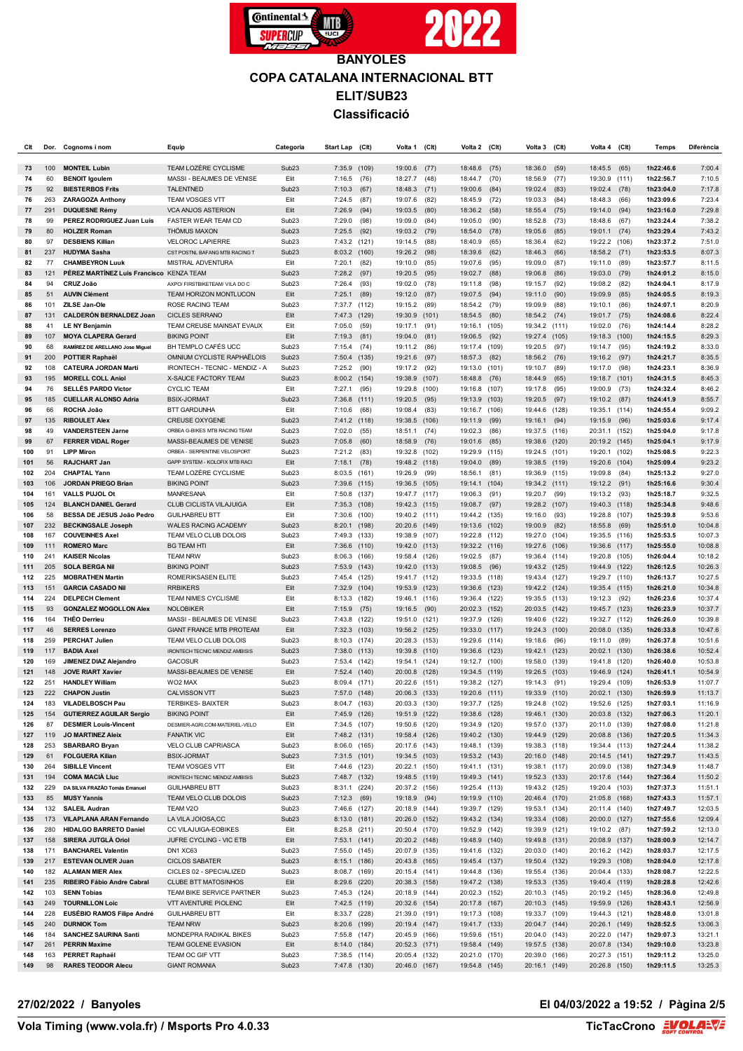

| Clt        | Dor.       | Cognoms i nom                                         | Equip                                                        | Categoria                              | Start Lap                     | (Clt)          | Volta 1                        | (C <sub>It</sub> ) | Volta 2 (Clt)                  |              | Volta 3                        | (Clt)          | Volta 4                        | (Clt)        | Temps                  | Diferència         |
|------------|------------|-------------------------------------------------------|--------------------------------------------------------------|----------------------------------------|-------------------------------|----------------|--------------------------------|--------------------|--------------------------------|--------------|--------------------------------|----------------|--------------------------------|--------------|------------------------|--------------------|
| 73         | 100        | <b>MONTEIL Lubin</b>                                  | TEAM LOZÈRE CYCLISME                                         | Sub <sub>23</sub>                      | 7:35.9                        | (109)          | 19:00.6                        | (77)               | 18:48.6                        | (75)         | 18:36.0                        | (59)           | 18:45.5                        | (65)         | 1h22:46.6              | 7:00.4             |
| 74         | 60         | <b>BENOIT Igoulem</b>                                 | MASSI - BEAUMES DE VENISE                                    | Elit                                   | 7:16.5                        | (76)           | 18:27.7                        | (48)               | 18:44.7                        | (70)         | 18:56.9                        | (77)           | 19:30.9 (111)                  |              | 1h22:56.7              | 7:10.5             |
| 75         | 92         | <b>BIESTERBOS Frits</b>                               | <b>TALENTNED</b>                                             | Sub <sub>23</sub>                      | 7:10.3                        | (67)           | 18:48.3                        | (71)               | 19:00.6                        | (84)         | 19:02.4                        | (83)           | 19:02.4                        | (78)         | 1h23:04.0              | 7:17.8             |
| 76<br>77   | 263<br>291 | <b>ZARAGOZA Anthony</b><br><b>DUQUESNE Rémy</b>       | <b>TEAM VOSGES VTT</b><br><b>VCA ANJOS ASTERION</b>          | Elit<br>Elit                           | 7:24.5<br>7:26.9              | (87)<br>(94)   | 19:07.6<br>19:03.5             | (82)<br>(80)       | 18:45.9<br>18:36.2             | (72)<br>(58) | 19:03.3                        | (84)           | 18:48.3<br>19:14.0             | (66)         | 1h23:09.6<br>1h23:16.0 | 7:23.4<br>7:29.8   |
| 78         | 99         | PEREZ RODRIGUEZ Juan Luis                             | <b>FASTER WEAR TEAM CD</b>                                   | Sub <sub>23</sub>                      | 7:29.0                        | (98)           | 19:09.0                        | (84)               | 19:05.0                        | (90)         | 18:55.4<br>18:52.8             | (75)<br>(73)   | 18:48.6                        | (94)<br>(67) | 1h23:24.4              | 7:38.2             |
| 79         | 80         | <b>HOLZER Roman</b>                                   | <b>THÖMUS MAXON</b>                                          | Sub <sub>23</sub>                      | 7:25.5                        | (92)           | 19:03.2                        | (79)               | 18:54.0                        | (78)         | 19:05.6                        | (85)           | 19:01.1 (74)                   |              | 1h23:29.4              | 7:43.2             |
| 80         | 97         | <b>DESBIENS Killian</b>                               | <b>VELOROC LAPIERRE</b>                                      | Sub <sub>23</sub>                      | 7:43.2 (121)                  |                | 19:14.5                        | (88)               | 18:40.9                        | (65)         | 18:36.4                        | (62)           | 19:22.2 (106)                  |              | 1h23:37.2              | 7:51.0             |
| 81         | 237        | <b>HUDYMA Sasha</b>                                   | CST POSTNL BAFANG MTB RACING T                               | Sub <sub>23</sub>                      | 8:03.2 (160)                  |                | 19:26.2                        | (98)               | 18:39.6                        | (62)         | 18:46.3                        | (66)           | 18:58.2 (71)                   |              | 1h23:53.5              | 8:07.3             |
| 82         | 77         | <b>CHAMBEYRON Luuk</b>                                | MISTRAL ADVENTURA                                            | Elit                                   | 7:20.1                        | (82)           | 19:10.0                        | (85)               | 19:07.6                        | (95)         | 19:09.0                        | (87)           | 19:11.0                        | (89)         | 1h23:57.7              | 8:11.5             |
| 83         | 121        | PÉREZ MARTÍNEZ Luis Francisco KENZA TEAM              |                                                              | Sub <sub>23</sub>                      | 7:28.2                        | (97)           | 19:20.5                        | (95)               | 19:02.7                        | (88)         | 19:06.8                        | (86)           | 19:03.0                        | (79)         | 1h24:01.2              | 8:15.0             |
| 84<br>85   | 94<br>51   | CRUZ João<br><b>AUVIN Clément</b>                     | AXPO/ FIRSTBIKETEAM/ VILA DO C<br>TEAM HORIZON MONTLUCON     | Sub <sub>23</sub><br>Elit              | 7:26.4<br>7:25.1              | (93)<br>(89)   | 19:02.0<br>19:12.0             | (78)<br>(87)       | 19:11.8<br>19:07.5             | (98)<br>(94) | 19:15.7<br>19:11.0             | (92)<br>(90)   | 19:08.2<br>19:09.9             | (82)<br>(85) | 1h24:04.1<br>1h24:05.5 | 8:17.9<br>8:19.3   |
| 86         | 101        | ZILSE Jan-Ole                                         | <b>ROSE RACING TEAM</b>                                      | Sub <sub>23</sub>                      | 7:37.7                        | (112)          | 19:15.2                        | (89)               | 18:54.2                        | (79)         | 19:09.9                        | (88)           | 19:10.1                        | (86)         | 1h24:07.1              | 8:20.9             |
| 87         | 131        | <b>CALDERÓN BERNALDEZ Joan</b>                        | <b>CICLES SERRANO</b>                                        | Elit                                   | 7:47.3                        | (129)          | 19:30.9                        | (101)              | 18:54.5 (80)                   |              | 18:54.2                        | (74)           | 19:01.7                        | (75)         | 1h24:08.6              | 8:22.4             |
| 88         | 41         | <b>LE NY Benjamin</b>                                 | TEAM CREUSE MAINSAT EVAUX                                    | Elit                                   | 7:05.0                        | (59)           | 19:17.1                        | (91)               | 19:16.1                        | (105)        | 19:34.2                        | (111)          | 19:02.0                        | (76)         | 1h24:14.4              | 8:28.2             |
| 89         | 107        | <b>MOYA CLAPERA Gerard</b>                            | <b>BIKING POINT</b>                                          | Elit                                   | 7:19.3                        | (81)           | 19:04.0                        | (81)               | 19:06.5                        | (92)         | 19:27.4                        | (105)          | 19:18.3 (100)                  |              | 1h24:15.5              | 8:29.3             |
| 90         | 68         | RAMÍREZ DE ARELLANO Jose Miguel                       | BH TEMPLO CAFÉS UCC                                          | Sub <sub>23</sub>                      | 7:15.4                        | (74)           | 19:11.2                        | (86)               | 19:17.4 (109)                  |              | 19:20.5                        | (97)           | 19:14.7                        | (95)         | 1h24:19.2              | 8:33.0             |
| 91<br>92   | 200<br>108 | <b>POTTIER Raphaël</b><br><b>CATEURA JORDAN Martí</b> | OMNIUM CYCLISTE RAPHAËLOIS<br>IRONTECH - TECNIC - MENDIZ - A | Sub <sub>23</sub><br>Sub <sub>23</sub> | 7:50.4<br>7:25.2              | (135)<br>(90)  | 19:21.6<br>19:17.2             | (97)<br>(92)       | 18:57.3<br>19:13.0 (101)       | (82)         | 18:56.2<br>19:10.7             | (76)<br>(89)   | 19:16.2<br>19:17.0             | (97)<br>(98) | 1h24:21.7<br>1h24:23.1 | 8:35.5<br>8:36.9   |
| 93         | 195        | <b>MORELL COLL Aniol</b>                              | X-SAUCE FACTORY TEAM                                         | Sub <sub>23</sub>                      | 8:00.2                        | (154)          | 19:38.9                        | (107)              | 18:48.8                        | (76)         | 18:44.9                        | (65)           | 19:18.7                        | (101)        | 1h24:31.5              | 8:45.3             |
| 94         | 76         | <b>SELLÉS PARDO Victor</b>                            | <b>CYCLIC TEAM</b>                                           | Elit                                   | 7:27.1                        | (95)           | 19:29.8                        | (100)              | 19:16.8 (107)                  |              | 19:17.8                        | (95)           | 19:00.9                        | (73)         | 1h24:32.4              | 8:46.2             |
| 95         | 185        | <b>CUELLAR ALONSO Adria</b>                           | <b>BSIX-JORMAT</b>                                           | Sub <sub>23</sub>                      | 7:36.8                        | (111)          | 19:20.5                        | (95)               | 19:13.9 (103)                  |              | 19:20.5                        | (97)           | 19:10.2                        | (87)         | 1h24:41.9              | 8:55.7             |
| 96         | 66         | ROCHA João                                            | <b>BTT GARDUNHA</b>                                          | Elit                                   | 7:10.6                        | (68)           | 19:08.4                        | (83)               | 19:16.7 (106)                  |              | 19:44.6                        | (128)          | 19:35.1 (114)                  |              | 1h24:55.4              | 9:09.2             |
| 97         | 135        | <b>RIBOULET Alex</b>                                  | <b>CREUSE OXYGENE</b>                                        | Sub <sub>23</sub>                      | 7:41.2                        | (118)          | 19:38.5                        | (106)              | 19:11.9                        | (99)         | 19:16.1                        | (94)           | 19:15.9                        | (96)         | 1h25:03.6              | 9:17.4             |
| 98<br>99   | 49<br>67   | <b>VANDERSTEEN Jarne</b><br><b>FERRER VIDAL Roger</b> | ORBEA G-BIKES MTB RACING TEAM<br>MASSI-BEAUMES DE VENISE     | Sub <sub>23</sub><br>Sub <sub>23</sub> | 7:02.0<br>7:05.8              | (55)<br>(60)   | 18:51.1<br>18:58.9             | (74)<br>(76)       | 19:02.3<br>19:01.6             | (86)<br>(85) | 19:37.5<br>19:38.6             | (116)<br>(120) | 20:31.1 (152)<br>20:19.2 (145) |              | 1h25:04.0<br>1h25:04.1 | 9:17.8<br>9:17.9   |
| 100        | 91         | <b>LIPP Miron</b>                                     | ORBEA - SERPENTINE VELOSPORT                                 | Sub <sub>23</sub>                      | 7:21.2                        | (83)           | 19:32.8                        | (102)              | 19:29.9                        | (115)        | 19:24.5                        | (101)          | 19:20.1 (102)                  |              | 1h25:08.5              | 9:22.3             |
| 101        | 56         | <b>RAJCHART Jan</b>                                   | GAPP SYSTEM - KOLOFIX MTB RACI                               | Elit                                   | 7:18.1                        | (78)           | 19:48.2                        | (118)              | 19:04.0                        | (89)         | 19:38.5                        | (119)          | 19:20.6 (104)                  |              | 1h25:09.4              | 9:23.2             |
| 102        | 204        | <b>CHAPTAL Yann</b>                                   | TEAM LOZÈRE CYCLISME                                         | Sub <sub>23</sub>                      | $8:03.5$ (161)                |                | 19:26.9                        | (99)               | 18:56.1                        | (81)         | 19:36.9                        | (115)          | 19:09.8                        | (84)         | 1h25:13.2              | 9:27.0             |
| 103        | 106        | <b>JORDAN PRIEGO Brian</b>                            | <b>BIKING POINT</b>                                          | Sub <sub>23</sub>                      | 7:39.6                        | (115)          | 19:36.5                        | (105)              | 19:14.1                        | (104)        | 19:34.2                        | (111)          | 19:12.2                        | (91)         | 1h25:16.6              | 9:30.4             |
| 104<br>105 | 161<br>124 | <b>VALLS PUJOL Ot</b><br><b>BLANCH DANIEL Gerard</b>  | MANRESANA<br>CLUB CICLISTA VILAJUIGA                         | Elit<br>Elit                           | 7:50.8<br>7:35.3 (108)        | (137)          | 19:47.7 (117)<br>19:42.3       | (115)              | 19:06.3<br>19:08.7 (97)        | (91)         | 19:20.7<br>19:28.2             | (99)<br>(107)  | 19:13.2<br>19:40.3 (118)       | (93)         | 1h25:18.7<br>1h25:34.8 | 9:32.5<br>9:48.6   |
| 106        | 58         | BESSA DE JESUS João Pedro                             | <b>GUILHABREU BTT</b>                                        | Elit                                   | 7:30.6                        | (100)          | 19:40.2                        | (111)              | 19:44.2 (135)                  |              | 19:16.0                        | (93)           | 19:28.8 (107)                  |              | 1h25:39.8              | 9:53.6             |
| 107        | 232        | <b>BECKINGSALE Joseph</b>                             | WALES RACING ACADEMY                                         | Sub <sub>23</sub>                      | 8:20.1                        | (198)          | 20:20.6                        | (149)              | 19:13.6 (102)                  |              | 19:00.9                        | (82)           | 18:55.8                        | (69)         | 1h25:51.0              | 10:04.8            |
| 108        | 167        | <b>COUVEINHES Axel</b>                                | TEAM VELO CLUB DOLOIS                                        | Sub <sub>23</sub>                      | 7:49.3                        | (133)          | 19:38.9                        | (107)              | 19:22.8                        | (112)        | 19:27.0                        | (104)          | 19:35.5 (116)                  |              | 1h25:53.5              | 10:07.3            |
| 109        | 111        | <b>ROMERO Marc</b>                                    | <b>BG TEAM HTI</b>                                           | Elit                                   | 7:36.6                        | (110)          | 19:42.0                        | (113)              | 19:32.2 (116)                  |              | 19:27.6                        | (106)          | 19:36.6 (117)                  |              | 1h25:55.0              | 10:08.8            |
| 110<br>111 | 241<br>205 | <b>KAISER Nicolas</b><br><b>SOLA BERGA Nil</b>        | <b>TEAM NRW</b><br><b>BIKING POINT</b>                       | Sub <sub>23</sub><br>Sub <sub>23</sub> | 8:06.3<br>7:53.9              | (166)<br>(143) | 19:58.4<br>19:42.0             | (126)<br>(113)     | 19:02.5<br>19:08.5             | (87)<br>(96) | 19:36.4 (114)<br>19:43.2       | (125)          | 19:20.8 (105)<br>19:44.9 (122) |              | 1h26:04.4<br>1h26:12.5 | 10:18.2<br>10:26.3 |
| 112        | 225        | <b>MOBRATHEN Martin</b>                               | ROMERIKSASEN ELITE                                           | Sub <sub>23</sub>                      | 7:45.4                        | (125)          | 19:41.7 (112)                  |                    | 19:33.5 (118)                  |              | 19:43.4                        | (127)          | 19:29.7 (110)                  |              | 1h26:13.7              | 10:27.5            |
| 113        | 151        | <b>GARCIA CASADO Nil</b>                              | <b>RRBIKERS</b>                                              | Elit                                   | 7:32.9                        | (104)          | 19:53.9                        | (123)              | 19:36.6                        | (123)        | 19:42.2 (124)                  |                | 19:35.4 (115)                  |              | 1h26:21.0              | 10:34.8            |
| 114        | 224        | <b>DELPECH Clement</b>                                | TEAM NIMES CYCLISME                                          | Elit                                   | 8:13.3                        | (182)          | 19:46.1                        | (116)              | 19:36.4 (122)                  |              | 19:35.5 (113)                  |                | 19:12.3                        | (92)         | 1h26:23.6              | 10:37.4            |
| 115        | 93         | <b>GONZALEZ MOGOLLON Alex</b>                         | <b>NOLOBIKER</b>                                             | Elit                                   | 7:15.9                        | (75)           | 19:16.5                        | (90)               | 20:02.3 (152)                  |              | 20:03.5                        | (142)          | 19:45.7 (123)                  |              | 1h26:23.9              | 10:37.7            |
| 116<br>117 | 164<br>46  | <b>THEO Derrieu</b><br><b>SERRES Lorenzo</b>          | MASSI - BEAUMES DE VENISE<br><b>GIANT FRANCE MTB PROTEAM</b> | Sub <sub>23</sub><br>Elit              | 7:43.8<br>7:32.3              | (122)<br>(103) | 19:51.0<br>19:56.2             | (121)<br>(125)     | 19:37.9 (126)<br>19:33.0 (117) |              | 19:40.6<br>19:24.3             | (122)<br>(100) | 19:32.7 (112)<br>20:08.0 (135) |              | 1h26:26.0<br>1h26:33.8 | 10:39.8<br>10:47.6 |
| 118        | 259        | <b>PERCHAT Julien</b>                                 | TEAM VELO CLUB DOLOIS                                        | Sub <sub>23</sub>                      | 8:10.3                        | (174)          | 20:28.3                        | (153)              | 19:29.6                        | (114)        | 19:18.6                        | (96)           | 19:11.0                        | (89)         | 1h26:37.8              | 10:51.6            |
| 119        | 117        | <b>BADIA Axel</b>                                     | IRONTECH TECNIC MENDIZ AMBISIS                               | Sub <sub>23</sub>                      | 7:38.0                        | (113)          | 19:39.8                        | (110)              | 19:36.6 (123)                  |              | 19:42.1                        | (123)          | 20:02.1 (130)                  |              | 1h26:38.6              | 10:52.4            |
| 120        | 169        | JIMENEZ DIAZ Alejandro                                | <b>GACOSUR</b>                                               | Sub <sub>23</sub>                      | 7:53.4                        | (142)          | 19:54.1                        | (124)              | 19:12.7 (100)                  |              | 19:58.0                        | (139)          | 19:41.8 (120)                  |              | 1h26:40.0              | 10:53.8            |
| 121        | 148<br>251 | <b>JOVE RIART Xavier</b><br><b>HANDLEY William</b>    | MASSI-BEAUMES DE VENISE<br>WO2 MAX                           | Elit<br>Sub <sub>23</sub>              | 7:52.4                        | (140)          | 20:00.8                        | (128)              | 19:34.5 (119)<br>19:38.2 (127) |              | 19:26.5                        | (103)          | 19:46.9                        | (124)        | 1h26:41.1<br>1h26:53.9 | 10:54.9<br>11:07.7 |
| 122<br>123 | 222        | <b>CHAPON Justin</b>                                  | <b>CALVISSON VTT</b>                                         | Sub <sub>23</sub>                      | 8:09.4<br>7:57.0              | (171)<br>(148) | 20:22.6<br>20:06.3 (133)       | (151)              | 19:20.6 (111)                  |              | 19:14.3<br>19:33.9             | (91)<br>(110)  | 19:29.4<br>20:02.1 (130)       | (109)        | 1h26:59.9              | 11:13.7            |
| 124        | 183        | VILADELBOSCH Pau                                      | TERBIKES- BAIXTER                                            | Sub <sub>23</sub>                      | 8:04.7 (163)                  |                | 20:03.3 (130)                  |                    | 19:37.7 (125)                  |              | 19:24.8 (102)                  |                | 19:52.6 (125)                  |              | 1h27:03.1              | 11:16.9            |
| 125        | 154        | <b>GUTIERREZ AGUILAR Sergio</b>                       | <b>BIKING POINT</b>                                          | Elit                                   | 7:45.9 (126)                  |                | 19:51.9 (122)                  |                    | 19:38.6 (128)                  |              | 19:46.1 (130)                  |                | 20:03.8 (132)                  |              | 1h27:06.3              | 11:20.1            |
| 126        | 87         | <b>DESMIER Louis-Vincent</b>                          | DESMIER-AGRI.COM-MATERIEL-VELO                               | Elit                                   | 7:34.5 (107)                  |                | 19:50.6 (120)                  |                    | 19:34.9 (120)                  |              | 19:57.0 (137)                  |                | 20:11.0 (139)                  |              | 1h27:08.0              | 11:21.8            |
| 127<br>128 | 119<br>253 | <b>JO MARTINEZ Aleix</b><br><b>SBARBARO Bryan</b>     | <b>FANATIK VIC</b><br>VELO CLUB CAPRIASCA                    | Elit<br>Sub <sub>23</sub>              | 7:48.2 (131)<br>8:06.0 (165)  |                | 19:58.4 (126)<br>20:17.6 (143) |                    | 19:40.2 (130)<br>19:48.1 (139) |              | 19:44.9 (129)<br>19:38.3 (118) |                | 20:08.8 (136)<br>19:34.4 (113) |              | 1h27:20.5<br>1h27:24.4 | 11:34.3<br>11:38.2 |
| 129        | 61         | <b>FOLGUERA Kilian</b>                                | <b>BSIX-JORMAT</b>                                           | Sub <sub>23</sub>                      | $7:31.5$ (101)                |                | 19:34.5 (103)                  |                    | 19:53.2 (143)                  |              | 20:16.0 (148)                  |                | 20:14.5 (141)                  |              | 1h27:29.7              | 11:43.5            |
| 130        | 264        | <b>SIBILLE Vincent</b>                                | TEAM VOSGES VTT                                              | Elit                                   | 7:44.6 (123)                  |                | 20:22.1 (150)                  |                    | 19:41.1 (131)                  |              | 19:38.1 (117)                  |                | 20:09.0 (138)                  |              | 1h27:34.9              | 11:48.7            |
| 131        | 194        | <b>COMA MACIÀ LIuc</b>                                | IRONTECH TECNIC MENDIZ AMBISIS                               | Sub <sub>23</sub>                      | 7:48.7 (132)                  |                | 19:48.5 (119)                  |                    | 19:49.3 (141)                  |              | 19:52.3 (133)                  |                | 20:17.6 (144)                  |              | 1h27:36.4              | 11:50.2            |
| 132        | 229        | DA SILVA FRAZÃO Tomás Emanuel                         | <b>GUILHABREU BTT</b>                                        | Sub <sub>23</sub>                      | $8:31.1$ (224)                |                | 20:37.2 (156)                  |                    | 19:25.4 (113)                  |              | 19:43.2 (125)                  |                | 19:20.4 (103)                  |              | 1h27:37.3              | 11:51.1            |
| 133<br>134 | 85<br>132  | <b>MUSY Yannis</b><br><b>SALEIL Audran</b>            | TEAM VELO CLUB DOLOIS<br>TEAM V2O                            | Sub <sub>23</sub><br>Sub <sub>23</sub> | $7:12.3$ (69)<br>7:46.6 (127) |                | 19:18.9<br>20:18.9 (144)       | (94)               | 19:19.9 (110)<br>19:39.7 (129) |              | 20:46.4 (170)<br>19:53.1 (134) |                | 21:05.8 (168)<br>20:11.4 (140) |              | 1h27:43.3<br>1h27:49.7 | 11:57.1<br>12:03.5 |
| 135        | 173        | <b>VILAPLANA ARAN Fernando</b>                        | LA VILA JOIOSA,CC                                            | Sub <sub>23</sub>                      | 8:13.0 (181)                  |                | 20:26.0 (152)                  |                    | 19:43.2 (134)                  |              | 19:33.4 (108)                  |                | 20:00.0 (127)                  |              | 1h27:55.6              | 12:09.4            |
| 136        | 280        | <b>HIDALGO BARRETO Daniel</b>                         | CC VILAJUIGA-EOBIKES                                         | Elit                                   | 8:25.8 (211)                  |                | 20:50.4 (170)                  |                    | 19:52.9 (142)                  |              | 19:39.9 (121)                  |                | 19:10.2 (87)                   |              | 1h27:59.2              | 12:13.0            |
| 137        | 158        | SIRERA JUTGLÀ Oriol                                   | JUFRE CYCLING - VIC ETB                                      | Elit                                   | 7:53.1 (141)                  |                | 20:20.2 (148)                  |                    | 19:48.9 (140)                  |              | 19:49.8 (131)                  |                | 20:08.9 (137)                  |              | 1h28:00.9              | 12:14.7            |
| 138        | 171        | <b>BANCHAREL Valentin</b>                             | DN1 XC63                                                     | Sub <sub>23</sub>                      | 7:55.0 (145)                  |                | 20:07.9 (135)                  |                    | 19:41.6 (132)                  |              | 20:03.0 (140)                  |                | 20:16.2 (142)                  |              | 1h28:03.7              | 12:17.5            |
| 139<br>140 | 217<br>182 | <b>ESTEVAN OLIVER Juan</b><br><b>ALAMAN MIER Alex</b> | <b>CICLOS SABATER</b><br>CICLES 02 - SPECIALIZED             | Sub <sub>23</sub><br>Sub <sub>23</sub> | 8:15.1 (186)<br>8:08.7 (169)  |                | 20:43.8 (165)<br>20:15.4 (141) |                    | 19:45.4 (137)<br>19:44.8 (136) |              | 19:50.4 (132)<br>19:55.4 (136) |                | 19:29.3 (108)<br>20:04.4 (133) |              | 1h28:04.0<br>1h28:08.7 | 12:17.8<br>12:22.5 |
| 141        | 235        | RIBEIRO Fábio Andre Cabral                            | <b>CLUBE BTT MATOSINHOS</b>                                  | Elit                                   | 8:29.6 (220)                  |                | 20:38.3 (158)                  |                    | 19:47.2 (138)                  |              | 19:53.3 (135)                  |                | 19:40.4 (119)                  |              | 1h28:28.8              | 12:42.6            |
| 142        | 103        | <b>SENN Tobias</b>                                    | TEAM BIKE SERVICE PARTNER                                    | Sub <sub>23</sub>                      | 7:45.3 (124)                  |                | 20:18.9 (144)                  |                    | 20:02.3 (152)                  |              | 20:10.3 (145)                  |                | 20:19.2 (145)                  |              | 1h28:36.0              | 12:49.8            |
| 143        | 249        | <b>TOURNILLON Loic</b>                                | VTT AVENTURE PIOLENC                                         | Elit                                   | 7:42.5 (119)                  |                | 20:32.6 (154)                  |                    | 20:17.8 (167)                  |              | 20:10.3 (145)                  |                | 19:59.9 (126)                  |              | 1h28:43.1              | 12:56.9            |
| 144        | 228        | EUSÉBIO RAMOS Filipe André                            | <b>GUILHABREU BTT</b>                                        | Elit                                   | 8:33.7 (228)                  |                | 21:39.0 (191)                  |                    | 19:17.3 (108)                  |              | 19:33.7 (109)                  |                | 19:44.3 (121)                  |              | 1h28:48.0              | 13:01.8            |
| 145<br>146 | 240<br>184 | <b>DURNIOK Tom</b><br>SANCHEZ SAURINA Santi           | <b>TEAM NRW</b><br>MONDEPRA RADIKAL BIKES                    | Sub <sub>23</sub><br>Sub <sub>23</sub> | 8:20.6 (199)<br>7:55.8 (147)  |                | 20:19.4 (147)<br>20:45.9 (166) |                    | 19:41.7 (133)<br>19:59.6 (151) |              | 20:04.7 (144)<br>20:04.0 (143) |                | 20:26.1 (149)<br>20:22.0 (147) |              | 1h28:52.5<br>1h29:07.3 | 13:06.3<br>13:21.1 |
| 147        | 261        | <b>PERRIN Maxime</b>                                  | TEAM GOLENE EVASION                                          | Elit                                   | 8:14.0 (184)                  |                | 20:52.3 (171)                  |                    | 19:58.4 (149)                  |              | 19:57.5 (138)                  |                | 20:07.8 (134)                  |              | 1h29:10.0              | 13:23.8            |
| 148        | 163        | PERRET Raphaël                                        | TEAM OC GIF VTT                                              | Sub <sub>23</sub>                      | 7:38.5 (114)                  |                | 20:05.4 (132)                  |                    | 20:21.0 (170)                  |              | 20:39.0 (166)                  |                | 20:27.3 (151)                  |              | 1h29:11.2              | 13:25.0            |
| 149        | 98         | <b>RARES TEODOR Alecu</b>                             | <b>GIANT ROMANIA</b>                                         | Sub <sub>23</sub>                      | 7:47.8 (130)                  |                | 20:46.0 (167)                  |                    | 19:54.8 (145)                  |              | 20:16.1 (149)                  |                | 20:26.8 (150)                  |              | 1h29:11.5              | 13:25.3            |

### **27/02/2022 / Banyoles El 04/03/2022 a 19:52 / Pàgina 2/5**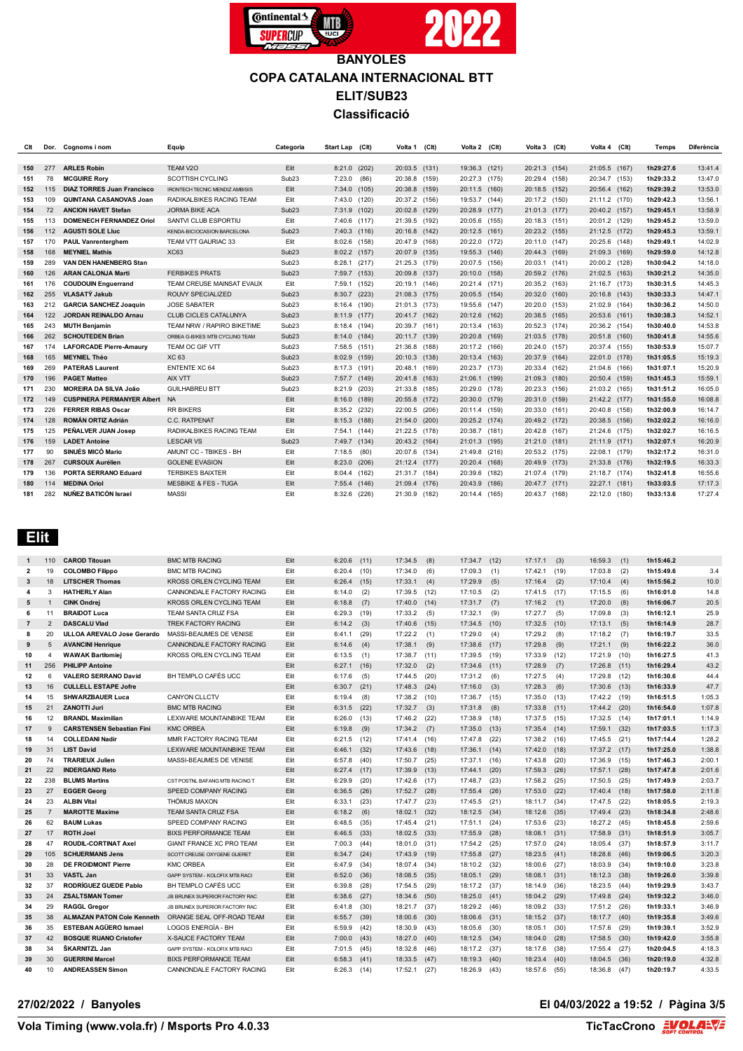

| Clt |     | Dor. Cognoms i nom                | Equip                           | Categoria         | Start Lap (Clt) |       | Volta 1 (Clt) |       | Volta 2 (Clt) | Volta 3 (Clt) |       | Volta 4 (Clt) |       | <b>Temps</b> | <b>Diferència</b> |
|-----|-----|-----------------------------------|---------------------------------|-------------------|-----------------|-------|---------------|-------|---------------|---------------|-------|---------------|-------|--------------|-------------------|
|     |     |                                   |                                 |                   |                 |       |               |       |               |               |       |               |       |              |                   |
| 150 | 277 | <b>ARLES Robin</b>                | TEAM V2O                        | Elit              | 8:21.0 (202)    |       | 20:03.5 (131) |       | 19:36.3 (121) | 20:21.3 (154) |       | 21:05.5 (167) |       | 1h29:27.6    | 13:41.4           |
| 151 | 78  | <b>MCGUIRE Rory</b>               | <b>SCOTTISH CYCLING</b>         | Sub <sub>23</sub> | 7:23.0          | (86)  | 20:38.8       | (159) | 20:27.3 (175) | 20:29.4       | (158) | 20:34.7 (153) |       | 1h29:33.2    | 13:47.0           |
| 152 | 115 | <b>DIAZ TORRES Juan Francisco</b> | IRONTECH TECNIC MENDIZ AMBISIS  | Elit              | 7:34.0 (105)    |       | 20:38.8       | (159) | 20:11.5 (160) | 20:18.5       | (152) | 20:56.4 (162) |       | 1h29:39.2    | 13:53.0           |
| 153 | 109 | QUINTANA CASANOVAS Joan           | RADIKALBIKES RACING TEAM        | Elit              | 7:43.0 (120)    |       | 20:37.2 (156) |       | 19:53.7 (144) | 20:17.2       | (150) | 21:11.2 (170) |       | 1h29:42.3    | 13:56.1           |
| 154 | 72  | <b>ANCION HAVET Stefan</b>        | <b>JORMA BIKE ACA</b>           | Sub <sub>23</sub> | 7:31.9 (102)    |       | 20:02.8       | (129) | 20:28.9 (177) | 21:01.3 (177) |       | 20:40.2 (157) |       | 1h29:45.1    | 13:58.9           |
| 155 | 113 | <b>DOMENECH FERNANDEZ Oriol</b>   | SANTVI CLUB ESPORTIU            | Elit              | 7:40.6 (117)    |       | 21:39.5 (192) |       | 20:05.6 (155) | 20:18.3 (151) |       | 20:01.2 (129) |       | 1h29:45.2    | 13:59.0           |
| 156 | 112 | <b>AGUSTI SOLE Lluc</b>           | KENDA-BICIOCASION BARCELONA     | Sub <sub>23</sub> | $7:40.3$ (116)  |       | 20:16.8 (142) |       | 20:12.5 (161) | 20:23.2 (155) |       | 21:12.5 (172) |       | 1h29:45.3    | 13:59.1           |
| 157 | 170 | <b>PAUL Vanrenterghem</b>         | TEAM VTT GAURIAC 33             | Elit              | $8:02.6$ (158)  |       | 20:47.9       | (168) | 20:22.0 (172) | 20:11.0 (147) |       | 20:25.6 (148) |       | 1h29:49.1    | 14:02.9           |
| 158 | 168 | <b>MEYNIEL Mathis</b>             | <b>XC63</b>                     | Sub <sub>23</sub> | 8:02.2 (157)    |       | 20:07.9       | (135) | 19:55.3 (146) | 20:44.3       | (169) | 21:09.3 (169) |       | 1h29:59.0    | 14:12.8           |
| 159 | 289 | <b>VAN DEN HANENBERG Stan</b>     |                                 | Sub <sub>23</sub> | 8:28.1 (217)    |       | 21:25.3       | (179) | 20:07.5 (156) | 20:03.1       | (141) | 20:00.2 (128) |       | 1h30:04.2    | 14:18.0           |
| 160 | 126 | <b>ARAN CALONJA Marti</b>         | <b>FERBIKES PRATS</b>           | Sub <sub>23</sub> | 7:59.7 (153)    |       | 20:09.8 (137) |       | 20:10.0 (158) | 20:59.2 (176) |       | 21:02.5 (163) |       | 1h30:21.2    | 14:35.0           |
| 161 | 176 | <b>COUDOUIN Enguerrand</b>        | TEAM CREUSE MAINSAT EVAUX       | Elit              | 7:59.1 (152)    |       | 20:19.1 (146) |       | 20:21.4 (171) | 20:35.2 (163) |       | 21:16.7 (173) |       | 1h30:31.5    | 14:45.3           |
| 162 | 255 | <b>VLASATÝ Jakub</b>              | ROUVY SPECIALIZED               | Sub <sub>23</sub> | 8:30.7          | (223) | 21:08.3 (175) |       | 20:05.5 (154) | 20:32.0       | (160) | 20:16.8 (143) |       | 1h30:33.3    | 14:47.1           |
| 163 | 212 | <b>GARCIA SANCHEZ Joaquin</b>     | <b>JOSE SABATER</b>             | Sub <sub>23</sub> | 8:16.4          | (190) | 21:01.3 (173) |       | 19:55.6 (147) | 20:20.0       | (153) | 21:02.9 (164) |       | 1h30:36.2    | 14:50.0           |
| 164 | 122 | <b>JORDAN REINALDO Arnau</b>      | <b>CLUB CICLES CATALUNYA</b>    | Sub <sub>23</sub> | 8:11.9 (177)    |       | 20:41.7 (162) |       | 20:12.6 (162) | 20:38.5       | (165) | 20:53.6 (161) |       | 1h30:38.3    | 14:52.1           |
| 165 | 243 | <b>MUTH Benjamin</b>              | TEAM NRW / RAPIRO BIKETIME      | Sub <sub>23</sub> | 8:18.4 (194)    |       | 20:39.7 (161) |       | 20:13.4 (163) | 20:52.3       | (174) | 20:36.2 (154) |       | 1h30:40.0    | 14:53.8           |
| 166 | 262 | <b>SCHOUTEDEN Brian</b>           | ORBEA G-BIKES MTB CYCLING TEAM  | Sub <sub>23</sub> | 8:14.0 (184)    |       | 20:11.7 (139) |       | 20:20.8 (169) | 21:03.5 (178) |       | 20:51.8 (160) |       | 1h30:41.8    | 14:55.6           |
| 167 | 174 | <b>LAFORCADE Pierre-Amaury</b>    | TEAM OC GIF VTT                 | Sub <sub>23</sub> | 7:58.5 (151)    |       | 21:36.8 (188) |       | 20:17.2 (166) | 20:24.0 (157) |       | 20:37.4 (155) |       | 1h30:53.9    | 15:07.7           |
| 168 | 165 | <b>MEYNIEL Théo</b>               | <b>XC 63</b>                    | Sub <sub>23</sub> | 8:02.9 (159)    |       | 20:10.3 (138) |       | 20:13.4 (163) | 20:37.9       | (164) | 22:01.0 (178) |       | 1h31:05.5    | 15:19.3           |
| 169 | 269 | <b>PATERAS Laurent</b>            | <b>ENTENTE XC 64</b>            | Sub <sub>23</sub> | 8:17.3 (191)    |       | 20:48.1 (169) |       | 20:23.7 (173) | 20:33.4       | (162) | 21:04.6 (166) |       | 1h31:07.1    | 15:20.9           |
| 170 | 196 | <b>PAGET Matteo</b>               | AIX VTT                         | Sub <sub>23</sub> | 7:57.7 (149)    |       | 20:41.8       | (163) | 21:06.1 (199) | 21:09.3       | (180) | 20:50.4 (159) |       | 1h31:45.3    | 15:59.1           |
| 171 | 230 | <b>MOREIRA DA SILVA João</b>      | <b>GUILHABREU BTT</b>           | Sub <sub>23</sub> | 8:21.9 (203)    |       | 21:33.8       | (185) | 20:29.0 (178) | 20:23.3       | (156) | 21:03.2 (165) |       | 1h31:51.2    | 16:05.0           |
| 172 | 149 | <b>CUSPINERA PERMANYER Albert</b> | <b>NA</b>                       | Elit              | 8:16.0 (189)    |       | 20:55.8 (172) |       | 20:30.0 (179) | 20:31.0       | (159) | 21:42.2 (177) |       | 1h31:55.0    | 16:08.8           |
| 173 | 226 | <b>FERRER RIBAS Oscar</b>         | <b>RR BIKERS</b>                | Elit              | 8:35.2 (232)    |       | 22:00.5 (206) |       | 20:11.4 (159) | 20:33.0 (161) |       | 20:40.8 (158) |       | 1h32:00.9    | 16:14.7           |
| 174 | 128 | <b>ROMÁN ORTIZ Adrián</b>         | C.C. RATPENAT                   | Elit              | $8:15.3$ (188)  |       | 21:54.0       | (200) | 20:25.2 (174) | 20:49.2 (172) |       | 20:38.5 (156) |       | 1h32:02.2    | 16:16.0           |
| 175 | 125 | PEÑALVER JUAN Josep               | RADIKALBIKES RACING TEAM        | Elit              | 7:54.1          | (144) | 21:22.5       | (178) | 20:38.7 (181) | 20:42.8       | (167) | 21:24.6 (175) |       | 1h32:02.7    | 16:16.5           |
| 176 | 159 | <b>LADET Antoine</b>              | <b>LESCAR VS</b>                | Sub <sub>23</sub> | 7:49.7 (134)    |       | 20:43.2 (164) |       | 21:01.3 (195) | 21:21.0       | (181) | 21:11.9 (171) |       | 1h32:07.1    | 16:20.9           |
| 177 | 90  | SINUÉS MICÓ Mario                 | AMUNT CC - TBIKES - BH          | Elit              | $7:18.5$ (80)   |       | 20:07.6 (134) |       | 21:49.8 (216) | 20:53.2 (175) |       | 22:08.1 (179) |       | 1h32:17.2    | 16:31.0           |
| 178 | 267 | <b>CURSOUX Aurélien</b>           | <b>GOLENE EVASION</b>           | Elit              | 8:23.0 (206)    |       | 21:12.4 (177) |       | 20:20.4 (168) | 20:49.9       | (173) | 21:33.8 (176) |       | 1h32:19.5    | 16:33.3           |
| 179 | 136 | <b>PORTA SERRANO Eduard</b>       | <b>TERBIKES BAIXTER</b>         | Elit              | 8:04.4 (162)    |       | 21:31.7 (184) |       | 20:39.6 (182) | 21:07.4 (179) |       | 21:18.7 (174) |       | 1h32:41.8    | 16:55.6           |
| 180 | 114 | <b>MEDINA Oriol</b>               | <b>MESBIKE &amp; FES - TUGA</b> | Elit              | $7:55.4$ (146)  |       | 21:09.4       | (176) | 20:43.9 (186) | 20:47.7       | (171) | 22:27.1       | (181) | 1h33:03.5    | 17:17.3           |
| 181 | 282 | NUÑEZ BATICÓN Israel              | <b>MASSI</b>                    | Elit              | 8:32.6 (226)    |       | 21:30.9 (182) |       | 20:14.4 (165) | 20:43.7       | (168) | 22:12.0 (180) |       | 1h33:13.6    | 17:27.4           |

### **Elit**

| $\mathbf{1}$   | 110            | <b>CAROD Titouan</b>              | <b>BMC MTB RACING</b>           | Elit | $6:20.6$ (11) |      | 17:34.5 | (8)  | 17:34.7 | (12) | 17:17.1 | (3)  | 16:59.3        | (1)  | 1h15:46.2 |        |
|----------------|----------------|-----------------------------------|---------------------------------|------|---------------|------|---------|------|---------|------|---------|------|----------------|------|-----------|--------|
| $\overline{2}$ | 19             | <b>COLOMBO Filippo</b>            | <b>BMC MTB RACING</b>           | Elit | 6:20.4        | (10) | 17:34.0 | (6)  | 17:09.3 | (1)  | 17:42.1 | (19) | 17:03.8        | (2)  | 1h15:49.6 | 3.4    |
| 3              | 18             | <b>LITSCHER Thomas</b>            | <b>KROSS ORLEN CYCLING TEAM</b> | Elit | 6:26.4        | (15) | 17:33.1 | (4)  | 17:29.9 | (5)  | 17:16.4 | (2)  | 17:10.4        | (4)  | 1h15:56.2 | 10.0   |
| 4              | 3              | <b>HATHERLY Alan</b>              | CANNONDALE FACTORY RACING       | Elit | 6:14.0        | (2)  | 17:39.5 | (12) | 17:10.5 | (2)  | 17:41.5 | (17) | 17:15.5        | (6)  | 1h16:01.0 | 14.8   |
| 5              | $\mathbf 1$    | <b>CINK Ondrei</b>                | <b>KROSS ORLEN CYCLING TEAM</b> | Elit | 6:18.8        | (7)  | 17:40.0 | (14) | 17:31.7 | (7)  | 17:16.2 | (1)  | 17:20.0        | (8)  | 1h16:06.7 | 20.5   |
| 6              | 11             | <b>BRAIDOT Luca</b>               | TEAM SANTA CRUZ FSA             | Elit | $6:29.3$ (19) |      | 17:33.2 | (5)  | 17:32.1 | (9)  | 17:27.7 | (5)  | 17:09.8        | (3)  | 1h16:12.1 | 25.9   |
| $\overline{7}$ | $\overline{2}$ | <b>DASCALU Vlad</b>               | <b>TREK FACTORY RACING</b>      | Elit | 6:14.2        | (3)  | 17:40.6 | (15) | 17:34.5 | (10) | 17:32.5 | (10) | 17:13.1        | (5)  | 1h16:14.9 | 28.7   |
| 8              | 20             | ULLOA AREVALO Jose Gerardo        | MASSI-BEAUMES DE VENISE         | Elit | 6:41.1        | (29) | 17:22.2 | (1)  | 17:29.0 | (4)  | 17:29.2 | (8)  | 17:18.2        | (7)  | 1h16:19.7 | 33.5   |
| 9              | $\overline{5}$ | <b>AVANCINI Henrique</b>          | CANNONDALE FACTORY RACING       | Elit | 6:14.6        | (4)  | 17:38.1 | (9)  | 17:38.6 | (17) | 17:29.8 | (9)  | 17:21.1        | (9)  | 1h16:22.2 | 36.0   |
| 10             | $\overline{4}$ | <b>WAWAK Bartłomiej</b>           | <b>KROSS ORLEN CYCLING TEAM</b> | Elit | 6:13.5        | (1)  | 17:38.7 | (11) | 17:39.5 | (19) | 17:33.9 | (12) | 17:21.9        | (10) | 1h16:27.5 | 41.3   |
| 11             | 256            | <b>PHILIPP Antoine</b>            |                                 | Elit | $6:27.1$ (16) |      | 17:32.0 | (2)  | 17:34.6 | (11) | 17:28.9 | (7)  | 17:26.8        | (11) | 1h16:29.4 | 43.2   |
| 12             | 6              | <b>VALERO SERRANO David</b>       | BH TEMPLO CAFÉS UCC             | Elit | 6:17.6        | (5)  | 17:44.5 | (20) | 17:31.2 | (6)  | 17:27.5 | (4)  | 17:29.8        | (12) | 1h16:30.6 | 44.4   |
| 13             | 16             | <b>CULLELL ESTAPE Jofre</b>       |                                 | Elit | 6:30.7        | (21) | 17:48.3 | (24) | 17:16.0 | (3)  | 17:28.3 | (6)  | 17:30.6        | (13) | 1h16:33.9 | 47.7   |
| 14             | 15             | <b>SHWARZBAUER Luca</b>           | CANYON CLLCTV                   | Elit | 6:19.4        | (8)  | 17:38.2 | (10) | 17:36.7 | (15) | 17:35.0 | (13) | 17:42.2        | (19) | 1h16:51.5 | 1:05.3 |
| 15             | 21             | <b>ZANOTTI Juri</b>               | <b>BMC MTB RACING</b>           | Elit | 6:31.5        | (22) | 17:32.7 | (3)  | 17:31.8 | (8)  | 17:33.8 | (11) | 17:44.2        | (20) | 1h16:54.0 | 1:07.8 |
| 16             | 12             | <b>BRANDL Maximilian</b>          | LEXWARE MOUNTAINBIKE TEAM       | Elit | $6:26.0$ (13) |      | 17:46.2 | (22) | 17:38.9 | (18) | 17:37.5 | (15) | $17:32.5$ (14) |      | 1h17:01.1 | 1:14.9 |
| 17             | 9              | <b>CARSTENSEN Sebastian Fini</b>  | <b>KMC ORBEA</b>                | Elit | 6:19.8        | (9)  | 17:34.2 | (7)  | 17:35.0 | (13) | 17:35.4 | (14) | 17:59.1 (32)   |      | 1h17:03.5 | 1:17.3 |
| 18             | 14             | <b>COLLEDANI Nadir</b>            | MMR FACTORY RACING TEAM         | Elit | $6:21.5$ (12) |      | 17:41.4 | (16) | 17:47.8 | (22) | 17:38.2 | (16) | 17:45.5        | (21) | 1h17:14.4 | 1:28.2 |
| 19             | 31             | <b>LIST David</b>                 | LEXWARE MOUNTAINBIKE TEAM       | Elit | 6:46.1        | (32) | 17:43.6 | (18) | 17:36.1 | (14) | 17:42.0 | (18) | 17:37.2        | (17) | 1h17:25.0 | 1:38.8 |
| 20             | 74             | <b>TRARIEUX Julien</b>            | MASSI-BEAUMES DE VENISE         | Elit | 6:57.8        | (40) | 17:50.7 | (25) | 17:37.1 | (16) | 17:43.8 | (20) | 17:36.9        | (15) | 1h17:46.3 | 2:00.1 |
| 21             | 22             | <b>INDERGAND Reto</b>             |                                 | Elit | $6:27.4$ (17) |      | 17:39.9 | (13) | 17:44.1 | (20) | 17:59.3 | (26) | 17:57.1        | (28) | 1h17:47.8 | 2:01.6 |
| 22             | 238            | <b>BLUMS Martins</b>              | CST POSTNL BAFANG MTB RACING T  | Elit | 6:29.9        | (20) | 17:42.6 | (17) | 17:48.7 | (23) | 17:58.2 | (25) | 17:50.5        | (25) | 1h17:49.9 | 2:03.7 |
| 23             | 27             | <b>EGGER Georg</b>                | SPEED COMPANY RACING            | Elit | $6:36.5$ (26) |      | 17:52.7 | (28) | 17:55.4 | (26) | 17:53.0 | (22) | 17:40.4        | (18) | 1h17:58.0 | 2:11.8 |
| 24             | 23             | <b>ALBIN Vital</b>                | THÖMUS MAXON                    | Elit | 6:33.1        | (23) | 17:47.7 | (23) | 17:45.5 | (21) | 18:11.7 | (34) | 17:47.5        | (22) | 1h18:05.5 | 2:19.3 |
| 25             | $\overline{7}$ | <b>MAROTTE Maxime</b>             | <b>TEAM SANTA CRUZ FSA</b>      | Elit | 6:18.2        | (6)  | 18:02.1 | (32) | 18:12.5 | (34) | 18:12.6 | (35) | 17:49.4        | (23) | 1h18:34.8 | 2:48.6 |
| 26             | 62             | <b>BAUM Lukas</b>                 | SPEED COMPANY RACING            | Elit | $6:48.5$ (35) |      | 17:45.4 | (21) | 17:51.1 | (24) | 17:53.6 | (23) | 18:27.2        | (45) | 1h18:45.8 | 2:59.6 |
| 27             | 17             | <b>ROTH Joel</b>                  | <b>BIXS PERFORMANCE TEAM</b>    | Elit | $6:46.5$ (33) |      | 18:02.5 | (33) | 17:55.9 | (28) | 18:08.1 | (31) | 17:58.9        | (31) | 1h18:51.9 | 3:05.7 |
| 28             | 47             | <b>ROUDIL-CORTINAT Axel</b>       | GIANT FRANCE XC PRO TEAM        | Elit | $7:00.3$ (44) |      | 18:01.0 | (31) | 17:54.2 | (25) | 17:57.0 | (24) | 18:05.4 (37)   |      | 1h18:57.9 | 3:11.7 |
| 29             | 105            | <b>SCHUERMANS Jens</b>            | SCOTT CREUSE OXYGENE GUERET     | Elit | 6:34.7        | (24) | 17:43.9 | (19) | 17:55.8 | (27) | 18:23.5 | (41) | 18:28.6        | (46) | 1h19:06.5 | 3:20.3 |
| 30             | 28             | DE FROIDMONT Pierre               | <b>KMC ORBEA</b>                | Elit | 6:47.9        | (34) | 18:07.4 | (34) | 18:10.2 | (32) | 18:00.6 | (27) | 18:03.9        | (34) | 1h19:10.0 | 3:23.8 |
| 31             | 33             | <b>VASTL Jan</b>                  | GAPP SYSTEM - KOLOFIX MTB RACI  | Elit | 6:52.0        | (36) | 18:08.5 | (35) | 18:05.1 | (29) | 18:08.1 | (31) | 18:12.3        | (38) | 1h19:26.0 | 3:39.8 |
| 32             | 37             | <b>RODRÍGUEZ GUEDE Pablo</b>      | BH TEMPLO CAFÉS UCC             | Elit | 6:39.8        | (28) | 17:54.5 | (29) | 18:17.2 | (37) | 18:14.9 | (36) | 18:23.5        | (44) | 1h19:29.9 | 3:43.7 |
| 33             | 24             | <b>ZSALTSMAN Tomer</b>            | JB BRUNEX SUPERIOR FACTORY RAC  | Elit | $6:38.6$ (27) |      | 18:34.6 | (50) | 18:25.0 | (41) | 18:04.2 | (29) | 17:49.8        | (24) | 1h19:32.2 | 3:46.0 |
| 34             | 29             | <b>RAGGL Gregor</b>               | JB BRUNEX SUPERIOR FACTORY RAC  | Elit | 6:41.8        | (30) | 18:21.7 | (37) | 18:29.2 | (46) | 18:09.2 | (33) | 17:51.2        | (26) | 1h19:33.1 | 3:46.9 |
| 35             | 38             | <b>ALMAZAN PATON Cole Kenneth</b> | ORANGE SEAL OFF-ROAD TEAM       | Elit | 6:55.7        | (39) | 18:00.6 | (30) | 18:06.6 | (31) | 18:15.2 | (37) | 18:17.7        | (40) | 1h19:35.8 | 3:49.6 |
| 36             | 35             | <b>ESTEBAN AGÜERO Ismael</b>      | LOGOS ENERGÍA - BH              | Elit | 6:59.9        | (42) | 18:30.9 | (43) | 18:05.6 | (30) | 18:05.1 | (30) | 17:57.6        | (29) | 1h19:39.1 | 3:52.9 |
| 37             | 42             | <b>BOSQUE RUANO Cristofer</b>     | <b>X-SAUCE FACTORY TEAM</b>     | Elit | 7:00.0        | (43) | 18:27.0 | (40) | 18:12.5 | (34) | 18:04.0 | (28) | 17:58.5        | (30) | 1h19:42.0 | 3:55.8 |
| 38             | 34             | ŠKARNITZL Jan                     | GAPP SYSTEM - KOLOFIX MTB RACI  | Elit | $7:01.5$ (45) |      | 18:32.8 | (46) | 18:17.2 | (37) | 18:17.6 | (38) | 17:55.4        | (27) | 1h20:04.5 | 4:18.3 |
| 39             | 30             | <b>GUERRINI Marcel</b>            | <b>BIXS PERFORMANCE TEAM</b>    | Elit | $6:58.3$ (41) |      | 18:33.5 | (47) | 18:19.3 | (40) | 18:23.4 | (40) | 18:04.5        | (36) | 1h20:19.0 | 4:32.8 |
| 40             | 10             | <b>ANDREASSEN Simon</b>           | CANNONDALE FACTORY RACING       | Elit | $6:26.3$ (14) |      | 17:52.1 | (27) | 18:26.9 | (43) | 18:57.6 | (55) | 18:36.8 (47)   |      | 1h20:19.7 | 4:33.5 |

### **27/02/2022 / Banyoles El 04/03/2022 a 19:52 / Pàgina 3/5**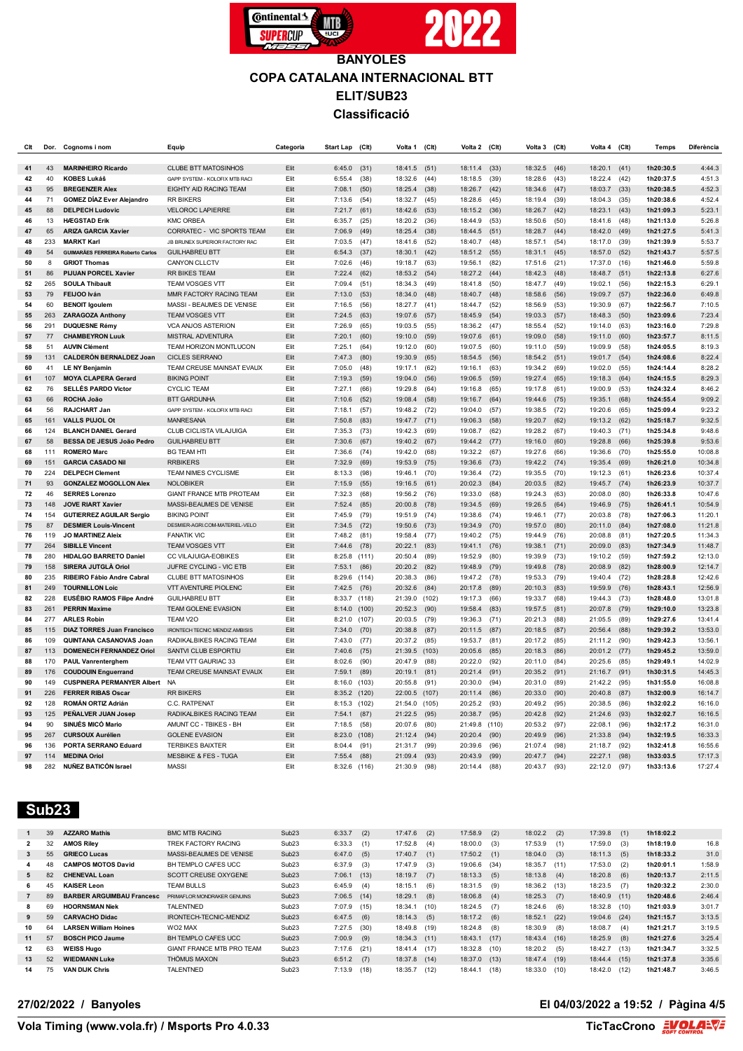

| Clt      | Dor.       | Cognoms i nom                                        | Equip                                                | Categoria    | <b>Start Lap</b> | (C <sub>l</sub> ) | Volta 1            | $($ Clt $)$   | Volta 2            | (CIt)        | Volta 3            | (Clt)        | Volta 4            | (C <sub>It</sub> ) | Temps                  | Diferència         |
|----------|------------|------------------------------------------------------|------------------------------------------------------|--------------|------------------|-------------------|--------------------|---------------|--------------------|--------------|--------------------|--------------|--------------------|--------------------|------------------------|--------------------|
| 41       | 43         | <b>MARINHEIRO Ricardo</b>                            | <b>CLUBE BTT MATOSINHOS</b>                          | Elit         | 6:45.0           | (31)              | 18:41.5            | (51)          | 18:11.4            | (33)         | 18:32.5            | (46)         | 18:20.1            | (41)               | 1h20:30.5              | 4:44.3             |
| 42       | 40         | <b>KOBES Lukáš</b>                                   | GAPP SYSTEM - KOLOFIX MTB RAC                        | Elit         | 6:55.4           | (38)              | 18:32.6            | (44)          | 18:18.5            | (39)         | 18:28.6            | (43)         | 18:22.4            | (42)               | 1h20:37.5              | 4:51.3             |
| 43       | 95         | <b>BREGENZER Alex</b>                                | EIGHTY AID RACING TEAM                               | Elit         | 7:08.1           | (50)              | 18:25.4            | (38)          | 18:26.7            | (42)         | 18:34.6            | (47)         | 18:03.7            | (33)               | 1h20:38.5              | 4:52.3             |
| 44       | 71         | <b>GOMEZ DÍAZ Ever Alejandro</b>                     | <b>RR BIKERS</b>                                     | Elit         | 7:13.6           | (54)              | 18:32.7            | (45)          | 18:28.6            | (45)         | 18:19.4            | (39)         | 18:04.3            | (35)               | 1h20:38.6              | 4:52.4             |
| 45       | 88         | <b>DELPECH Ludovic</b>                               | <b>VELOROC LAPIERRE</b>                              | Elit         | 7:21.7           | (61)              | 18:42.6            | (53)          | 18:15.2            | (36)         | 18:26.7            | (42)         | 18:23.1            | (43)               | 1h21:09.3              | 5:23.1             |
| 46       | 13         | <b>HÆGSTAD Erik</b>                                  | <b>KMC ORBEA</b>                                     | Elit         | 6:35.7           | (25)              | 18:20.2            | (36)          | 18:44.9            | (53)         | 18:50.6            | (50)         | 18:41.6            | (48)               | 1h21:13.0              | 5:26.8             |
| 47       | 65         | <b>ARIZA GARCIA Xavier</b>                           | CORRATEC - VIC SPORTS TEAM                           | Elit         | 7:06.9           | (49)              | 18:25.4            | (38)          | 18:44.5            | (51)         | 18:28.7            | (44)         | 18:42.0            | (49)               | 1h21:27.5              | 5:41.3             |
| 48       | 233        | <b>MARKT Karl</b>                                    | JB BRUNEX SUPERIOR FACTORY RAC                       | Elit         | 7:03.5           | (47)              | 18:41.6            | (52)          | 18:40.7            | (48)         | 18:57.1            | (54)         | 18:17.0            | (39)               | 1h21:39.9              | 5:53.7             |
| 49       | 54         | <b>GUIMARÃES FERREIRA Roberto Carlos</b>             | <b>GUILHABREU BTT</b>                                | Elit         | 6:54.3           | (37)              | 18:30.1            | (42)          | 18:51.2            | (55)         | 18:31.1            | (45)         | 18:57.0            | (52)               | 1h21:43.7              | 5:57.5             |
| 50       | 8          | <b>GRIOT Thomas</b>                                  | CANYON CLLCTV                                        | Elit         | 7:02.6           | (46)              | 19:18.7            | (63)          | 19:56.1            | (82)         | 17:51.6            | (21)         | 17:37.0            | (16)               | 1h21:46.0              | 5:59.8             |
| 51       | 86         | <b>PIJUAN PORCEL Xavier</b>                          | RR BIKES TEAM                                        | Elit         | 7:22.4           | (62)              | 18:53.2            | (54)          | 18:27.2 (44)       |              | 18:42.3            | (48)         | 18:48.7            | (51)               | 1h22:13.8              | 6:27.6             |
| 52       | 265        | <b>SOULA Thibault</b>                                | TEAM VOSGES VTT                                      | Elit         | 7:09.4           | (51)              | 18:34.3            | (49)          | 18:41.8            | (50)         | 18:47.7            | (49)         | 19:02.1            | (56)               | 1h22:15.3              | 6:29.1             |
| 53       | 79         | FEIJOO Iván                                          | MMR FACTORY RACING TEAM                              | Elit         | 7:13.0           | (53)              | 18:34.0            | (48)          | 18:40.7            | (48)         | 18:58.6            | (56)         | 19:09.7            | (57)               | 1h22:36.0              | 6:49.8             |
| 54       | 60         | <b>BENOIT Igoulem</b>                                | MASSI - BEAUMES DE VENISE                            | Elit         | 7:16.5           | (56)              | 18:27.7            | (41)          | 18:44.7            | (52)         | 18:56.9            | (53)         | 19:30.9            | (67)               | 1h22:56.7              | 7:10.5             |
| 55       | 263        | <b>ZARAGOZA Anthony</b>                              | TEAM VOSGES VTT                                      | Elit         | 7:24.5           | (63)              | 19:07.6            | (57)          | 18:45.9            | (54)         | 19:03.3            | (57)         | 18:48.3            | (50)               | 1h23:09.6              | 7:23.4             |
| 56       | 291        | <b>DUQUESNE Rémy</b>                                 | VCA ANJOS ASTERION                                   | Elit         | 7:26.9           | (65)              | 19:03.5            | (55)          | 18:36.2            | (47)         | 18:55.4            | (52)         | 19:14.0            | (63)               | 1h23:16.0              | 7:29.8             |
| 57       | 77         | <b>CHAMBEYRON Luuk</b>                               | MISTRAL ADVENTURA                                    | Elit         | 7:20.1           | (60)              | 19:10.0            | (59)          | 19:07.6            | (61)         | 19:09.0            | (58)         | 19:11.0            | (60)               | 1h23:57.7              | 8:11.5             |
| 58       | 51         | <b>AUVIN Clément</b>                                 | TEAM HORIZON MONTLUCON                               | Elit         | 7:25.1           | (64)              | 19:12.0            | (60)          | 19:07.5            | (60)         | 19:11.0            | (59)         | 19:09.9            | (58)               | 1h24:05.5              | 8:19.3             |
| 59       | 131        | <b>CALDERÓN BERNALDEZ Joan</b>                       | <b>CICLES SERRANO</b>                                | Elit         | 7:47.3           | (80)              | 19:30.9            | (65)          | 18:54.5            | (56)         | 18:54.2            | (51)         | 19:01.7            | (54)               | 1h24:08.6              | 8:22.4             |
| 60       | 41         | <b>LE NY Benjamin</b>                                | TEAM CREUSE MAINSAT EVAUX                            | Elit         | 7:05.0           | (48)              | 19:17.1            | (62)          | 19:16.1            | (63)         | 19:34.2            | (69)         | 19:02.0            | (55)               | 1h24:14.4              | 8:28.2             |
| 61       | 107        | <b>MOYA CLAPERA Gerard</b>                           | <b>BIKING POINT</b>                                  | Elit         | 7:19.3           | (59)              | 19:04.0            | (56)          | 19:06.5            | (59)         | 19:27.4            | (65)         | 19:18.3            | (64)               | 1h24:15.5              | 8:29.3             |
| 62       | 76         | SELLÉS PARDO Victor                                  | <b>CYCLIC TEAM</b>                                   | Elit         | 7:27.1           | (66)              | 19:29.8            | (64)          | 19:16.8            | (65)         | 19:17.8            | (61)         | 19:00.9            | (53)               | 1h24:32.4              | 8:46.2             |
| 63       | 66         | ROCHA João                                           | <b>BTT GARDUNHA</b>                                  | Elit         | 7:10.6           | (52)              | 19:08.4            | (58)          | 19:16.7            | (64)         | 19:44.6            | (75)         | 19:35.1            | (68)               | 1h24:55.4              | 9:09.2             |
| 64       | 56         | <b>RAJCHART Jan</b>                                  | GAPP SYSTEM - KOLOFIX MTB RACI                       | Elit         | 7:18.1           | (57)              | 19:48.2            | (72)          | 19:04.0            | (57)         | 19:38.5            | (72)         | 19:20.6            | (65)               | 1h25:09.4              | 9:23.2             |
| 65       | 161        | VALLS PUJOL Of                                       | <b>MANRESANA</b>                                     | Elit         | 7:50.8           | (83)              | 19:47.7            | (71)          | 19:06.3            | (58)         | 19:20.7            | (62)         | 19:13.2            | (62)               | 1h25:18.7              | 9:32.5             |
| 66       | 124        | <b>BLANCH DANIEL Gerard</b>                          | CLUB CICLISTA VILAJUIGA                              | Elit         | 7:35.3           | (73)              | 19:42.3            | (69)          | 19:08.7            | (62)         | 19:28.2            | (67)         | 19:40.3            | (71)               | 1h25:34.8              | 9:48.6             |
| 67       | 58         | BESSA DE JESUS João Pedro                            | <b>GUILHABREU BTT</b>                                | Elit         | 7:30.6           | (67)              | 19:40.2            | (67)          | 19:44.2            | (77)         | 19:16.0            | (60)         | 19:28.8            | (66)               | 1h25:39.8              | 9:53.6             |
| 68       | 111        | <b>ROMERO Marc</b>                                   | <b>BG TEAM HTI</b>                                   | Elit         | 7:36.6           | (74)              | 19:42.0            | (68)          | 19:32.2            | (67)         | 19:27.6            | (66)         | 19:36.6            | (70)               | 1h25:55.0              | 10:08.8            |
| 69       | 151        | <b>GARCIA CASADO Nil</b>                             | <b>RRBIKERS</b>                                      | Elit         | 7:32.9           | (69)              | 19:53.9            | (75)          | 19:36.6            | (73)         | 19:42.2            | (74)         | 19:35.4            | (69)               | 1h26:21.0              | 10:34.8            |
| 70       | 224        | <b>DELPECH Clement</b>                               | TEAM NIMES CYCLISME                                  | Elit         | 8:13.3           | (98)              | 19:46.1            | (70)          | 19:36.4            | (72)         | 19:35.5            | (70)         | 19:12.3            | (61)               | 1h26:23.6              | 10:37.4            |
| 71       | 93         | <b>GONZALEZ MOGOLLON Alex</b>                        | <b>NOLOBIKER</b>                                     | Elit         | 7:15.9           | (55)              | 19:16.5            | (61)          | 20:02.3            | (84)         | 20:03.5            | (82)         | 19:45.7            | (74)               | 1h26:23.9              | 10:37.7            |
| 72       | 46         | <b>SERRES Lorenzo</b>                                | <b>GIANT FRANCE MTB PROTEAM</b>                      | Elit         | 7:32.3           | (68)              | 19:56.2            | (76)          | 19:33.0            | (68)         | 19:24.3            | (63)         | 20:08.0            | (80)               | 1h26:33.8              | 10:47.6            |
| 73       | 148        | <b>JOVE RIART Xavier</b>                             | MASSI-BEAUMES DE VENISE                              | Elit         | 7:52.4           | (85)              | 20:00.8            | (78)          | 19:34.5            | (69)         | 19:26.5            | (64)         | 19:46.9            | (75)               | 1h26:41.1              | 10:54.9            |
| 74       | 154        | <b>GUTIERREZ AGUILAR Sergio</b>                      | <b>BIKING POINT</b>                                  | Elit         | 7:45.9           | (79)              | 19:51.9            | (74)          | 19:38.6            | (74)         | 19:46.1            | (77)         | 20:03.8            | (78)               | 1h27:06.3              | 11:20.1            |
| 75       | 87         | <b>DESMIER Louis-Vincent</b>                         | DESMIER-AGRI.COM-MATERIEL-VELO                       | Elit         | 7:34.5           | (72)              | 19:50.6            | (73)          | 19:34.9            | (70)         | 19:57.0            | (80)         | 20:11.0            | (84)               | 1h27:08.0              | 11:21.8            |
| 76       | 119        | <b>JO MARTINEZ Aleix</b>                             | <b>FANATIK VIC</b>                                   | Elit         | 7:48.2           | (81)              | 19:58.4            | (77)          | 19:40.2            | (75)         | 19:44.9            | (76)         | 20:08.8            | (81)               | 1h27:20.5              | 11:34.3            |
| 77       | 264        | <b>SIBILLE Vincent</b>                               | TEAM VOSGES VTT                                      | Elit         | 7:44.6           | (78)              | 20:22.1            | (83)          | 19:41.1            | (76)         | 19:38.1            | (71)         | 20:09.0            | (83)               | 1h27:34.9              | 11:48.7            |
| 78       | 280        | <b>HIDALGO BARRETO Daniel</b>                        | CC VILAJUIGA-EOBIKES                                 | Elit         | 8:25.8           | (111)             | 20:50.4            | (89)          | 19:52.9            | (80)         | 19:39.9            | (73)         | 19:10.2            | (59)               | 1h27:59.2              | 12:13.0            |
| 79       | 158<br>235 | SIRERA JUTGLÀ Oriol                                  | JUFRE CYCLING - VIC ETB                              | Elit         | 7:53.1           | (86)              | 20:20.2            | (82)          | 19:48.9            | (79)         | 19:49.8            | (78)         | 20:08.9            | (82)               | 1h28:00.9              | 12:14.7            |
| 80       | 249        | RIBEIRO Fábio Andre Cabral                           | <b>CLUBE BTT MATOSINHOS</b>                          | Elit<br>Elit | 8:29.6           | (114)             | 20:38.3            | (86)          | 19:47.2            | (78)         | 19:53.3            | (79)         | 19:40.4            | (72)               | 1h28:28.8              | 12:42.6            |
| 81<br>82 | 228        | <b>TOURNILLON Loic</b><br>EUSÉBIO RAMOS Filipe André | <b>VTT AVENTURE PIOLENC</b><br><b>GUILHABREU BTT</b> | Elit         | 7:42.5<br>8:33.7 | (76)<br>(118)     | 20:32.6<br>21:39.0 | (84)<br>(102) | 20:17.8<br>19:17.3 | (89)<br>(66) | 20:10.3<br>19:33.7 | (83)<br>(68) | 19:59.9<br>19:44.3 | (76)<br>(73)       | 1h28:43.1<br>1h28:48.0 | 12:56.9<br>13:01.8 |
| 83       | 261        | <b>PERRIN Maxime</b>                                 | TEAM GOLENE EVASION                                  | Elit         | 8:14.0           | (100)             | 20:52.3            | (90)          | 19:58.4            | (83)         | 19:57.5            | (81)         | 20:07.8            | (79)               | 1h29:10.0              | 13:23.8            |
| 84       | 277        | <b>ARLES Robin</b>                                   | TEAM V2O                                             | Elit         | 8:21.0           | (107)             | 20:03.5            | (79)          | 19:36.3            | (71)         | 20:21.3            | (88)         | 21:05.5            | (89)               | 1h29:27.6              | 13:41.4            |
| 85       | 115        | <b>DIAZ TORRES Juan Francisco</b>                    | IRONTECH TECNIC MENDIZ AMBISIS                       | Elit         | 7:34.0           | (70)              | 20:38.8            | (87)          | 20:11.5            | (87)         | 20:18.5            | (87)         | 20:56.4            | (88)               | 1h29:39.2              | 13:53.0            |
| 86       | 109        | QUINTANA CASANOVAS Joan                              | RADIKALBIKES RACING TEAM                             | Elit         | 7:43.0           | (77)              | 20:37.2            | (85)          | 19:53.7            | (81)         | 20:17.2            | (85)         | 21:11.2            | (90)               | 1h29:42.3              | 13:56.1            |
| 87       | 113        | <b>DOMENECH FERNANDEZ Oriol</b>                      | SANTVI CLUB ESPORTIU                                 | Elit         | 7:40.6           | (75)              | 21:39.5            | (103)         | 20:05.6            | (85)         | 20:18.3            | (86)         | 20:01.2            | (77)               | 1h29:45.2              | 13:59.0            |
| 88       | 170        | <b>PAUL Vanrenterghem</b>                            | TEAM VTT GAURIAC 33                                  | Elit         | 8:02.6           | (90)              | 20:47.9            | (88)          | 20:22.0            | (92)         | 20:11.0            | (84)         | 20:25.6            | (85)               | 1h29:49.1              | 14:02.9            |
| 89       | 176        | <b>COUDOUIN Enguerrand</b>                           | TEAM CREUSE MAINSAT EVAUX                            | Elit         | 7:59.1           | (89)              | 20:19.1            | (81)          | 20:21.4            | (91)         | 20:35.2            | (91)         | 21:16.7            | (91)               | 1h30:31.5              | 14:45.3            |
| 90       | 149        | <b>CUSPINERA PERMANYER Albert</b>                    | <b>NA</b>                                            | Elit         | 8:16.0           | (103)             | 20:55.8            | (91)          | 20:30.0            | (94)         | 20:31.0            | (89)         | 21:42.2            | (95)               | 1h31:55.0              | 16:08.8            |
| 91       | 226        | <b>FERRER RIBAS Oscar</b>                            | <b>RR BIKERS</b>                                     | Elit         | 8:35.2           | (120)             | 22:00.5            | (107)         | 20:11.4            | (86)         | 20:33.0            | (90)         | 20:40.8            | (87)               | 1h32:00.9              | 16:14.7            |
| 92       | 128        | ROMÁN ORTIZ Adrián                                   | C.C. RATPENAT                                        | Elit         | 8:15.3           | (102)             | 21:54.0            | (105)         | 20:25.2            | (93)         | 20:49.2            | (95)         | 20:38.5            | (86)               | 1h32:02.2              | 16:16.0            |
| 93       | 125        | PEÑALVER JUAN Josep                                  | RADIKALBIKES RACING TEAM                             | Elit         | 7:54.1           | (87)              | 21:22.5            | (95)          | 20:38.7            | (95)         | 20:42.8            | (92)         | 21:24.6            | (93)               | 1h32:02.7              | 16:16.5            |
| 94       | 90         | SINUÉS MICÓ Mario                                    | AMUNT CC - TBIKES - BH                               | Elit         | 7:18.5           | (58)              | 20:07.6            | (80)          | 21:49.8            | (110)        | 20:53.2            | (97)         | 22:08.1            | (96)               | 1h32:17.2              | 16:31.0            |
| 95       | 267        | <b>CURSOUX Aurélien</b>                              | <b>GOLENE EVASION</b>                                | Elit         | 8:23.0           | (108)             | 21:12.4            | (94)          | 20:20.4            | (90)         | 20:49.9            | (96)         | 21:33.8            | (94)               | 1h32:19.5              | 16:33.3            |
| 96       | 136        | <b>PORTA SERRANO Eduard</b>                          | <b>TERBIKES BAIXTER</b>                              | Elit         | 8:04.4           | (91)              | 21:31.7            | (99)          | 20:39.6            | (96)         | 21:07.4            | (98)         | 21:18.7            | (92)               | 1h32:41.8              | 16:55.6            |
| 97       | 114        | <b>MEDINA Oriol</b>                                  | <b>MESBIKE &amp; FES - TUGA</b>                      | Elit         | 7:55.4           | (88)              | 21:09.4            | (93)          | 20:43.9            | (99)         | 20:47.7            | (94)         | 22:27.1            | (98)               | 1h33:03.5              | 17:17.3            |
| 98       | 282        | <b>NUÑEZ BATICÓN Israel</b>                          | <b>MASSI</b>                                         | Elit         | 8:32.6           | (116)             | 21:30.9            | (98)          | 20:14.4            | (88)         | 20:43.7            | (93)         | 22:12.0            | (97)               | 1h33:13.6              | 17:27.4            |

 **Sub23** 

| $\mathbf{1}$   | 39 | <b>AZZARO Mathis</b>             | <b>BMC MTB RACING</b>       | Sub <sub>23</sub> | 6:33.7        | (2)  | 17:47.6 | (2)  | 17:58.9        | (2)  | 18:02.2        | (2)  | 17:39.8        | (1)  | 1h18:02.2 |        |
|----------------|----|----------------------------------|-----------------------------|-------------------|---------------|------|---------|------|----------------|------|----------------|------|----------------|------|-----------|--------|
| $\overline{2}$ | 32 | <b>AMOS Rilev</b>                | TREK FACTORY RACING         | Sub <sub>23</sub> | 6:33.3        | (1)  | 17:52.8 | (4)  | 18:00.0        | (3)  | 17:53.9        | (1)  | 17:59.0        | (3)  | 1h18:19.0 | 16.8   |
| 3              | 55 | <b>GRIECO Lucas</b>              | MASSI-BEAUMES DE VENISE     | Sub <sub>23</sub> | 6:47.0        | (5)  | 17:40.7 | (1)  | 17:50.2        | (1)  | $18:04.0$ (3)  |      | 18:11.3        | (5)  | 1h18:33.2 | 31.0   |
| 4              | 48 | <b>CAMPOS MOTOS David</b>        | BH TEMPLO CAFES UCC         | Sub <sub>23</sub> | 6:37.9        | (3)  | 17:47.9 | (3)  | 19:06.6 (34)   |      | 18:35.7        | (11) | 17:53.0        | (2)  | 1h20:01.1 | 1:58.9 |
| 5              | 82 | <b>CHENEVAL Loan</b>             | SCOTT CREUSE OXYGENE        | Sub <sub>23</sub> | 7:06.1        | (13) | 18:19.7 | (7)  | 18:13.3        | (5)  | 18:13.8        | (4)  | 18:20.8        | (6)  | 1h20:13.7 | 2:11.5 |
| 6.             | 45 | <b>KAISER Leon</b>               | TEAM BULLS                  | Sub <sub>23</sub> | 6:45.9        | (4)  | 18:15.1 | (6)  | 18:31.5        | (9)  | 18:36.2        | (13) | 18:23.5        | (7)  | 1h20:32.2 | 2:30.0 |
|                | 89 | <b>BARBER ARGUIMBAU Francesc</b> | PRIMAFLOR MONDRAKER GENUINS | Sub <sub>23</sub> | $7:06.5$ (14) |      | 18:29.1 | (8)  | 18:06.8        | (4)  | $18:25.3$ (7)  |      | $18:40.9$ (11) |      | 1h20:48.6 | 2:46.4 |
| 8              | 69 | <b>HOORNSMAN Niek</b>            | <b>TALENTNED</b>            | Sub <sub>23</sub> | 7:07.9        | (15) | 18:34.  | (10) | 18:24.5        | (7)  | 18:24.6        | (6)  | 18:32.8        | (10) | 1h21:03.9 | 3:01.7 |
| 9              | 59 | <b>CARVACHO Didac</b>            | IRONTECH-TECNIC-MENDIZ      | Sub <sub>23</sub> | 6:47.5        | (6)  | 18:14.3 | (5)  | $18:17.2$ (6)  |      | $18:52.1$ (22) |      | 19:04.6 (24)   |      | 1h21:15.7 | 3:13.5 |
| 10             | 64 | LARSEN William Hoines            | WO2 MAX                     | Sub <sub>23</sub> | 7:27.5        | (30) | 18:49.8 | (19) | 18:24.8        | (8)  | 18:30.9        | (8)  | 18:08.7        | (4)  | 1h21:21.7 | 3:19.5 |
| 11             | 57 | <b>BOSCH PICO Jaume</b>          | BH TEMPLO CAFES UCC.        | Sub <sub>23</sub> | 7:00.9        | (9)  | 18:34.3 | (11) | $18:43.1$ (17) |      | 18:43.4 (16)   |      | 18:25.9        | (8)  | 1h21:27.6 | 3:25.4 |
| 12             | 63 | <b>WEISS Hugo</b>                | GIANT FRANCE MTB PRO TEAM   | Sub <sub>23</sub> | 7:17.6        | (21) | 18:41.4 | (17) | 18:32.8        | (10) | 18:20.2        | (5)  | 18:42.7        | (13) | 1h21:34.7 | 3:32.5 |
| 13             | 52 | <b>WIEDMANN Luke</b>             | THÖMUS MAXON                | Sub <sub>23</sub> | 6:51.2        | (7)  | 18:37.8 | (14) | 18:37.0 (13)   |      | 18:47.4        | (19) | 18:44.4 (15)   |      | 1h21:37.8 | 3:35.6 |
| 14             | 75 | <b>VAN DIJK Chris</b>            | TALENTNED                   | Sub <sub>23</sub> | 7:13.9        | (18) | 18:35.7 | (12) | 18:44.1        | (18) | 18:33.0        | (10) | 18:42.0        | (12) | 1h21:48.7 | 3:46.5 |

### **27/02/2022 / Banyoles El 04/03/2022 a 19:52 / Pàgina 4/5**